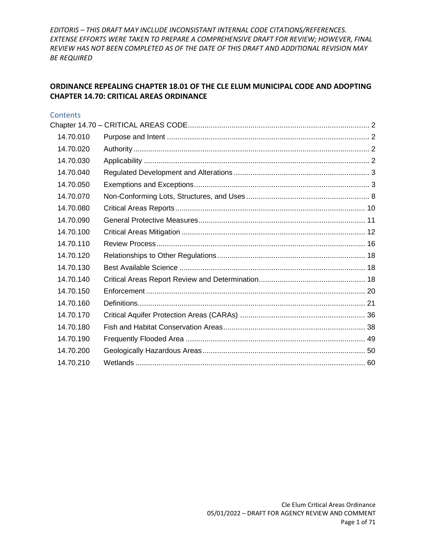#### **ORDINANCE REPEALING CHAPTER 18.01 OF THE CLE ELUM MUNICIPAL CODE AND ADOPTING CHAPTER 14.70: CRITICAL AREAS ORDINANCE**

#### **Contents**

| 14.70.010 |  |
|-----------|--|
| 14.70.020 |  |
| 14.70.030 |  |
| 14.70.040 |  |
| 14.70.050 |  |
| 14.70.070 |  |
| 14.70.080 |  |
| 14.70.090 |  |
| 14.70.100 |  |
| 14.70.110 |  |
| 14.70.120 |  |
| 14.70.130 |  |
| 14.70.140 |  |
| 14.70.150 |  |
| 14.70.160 |  |
| 14.70.170 |  |
| 14.70.180 |  |
| 14.70.190 |  |
| 14.70.200 |  |
| 14.70.210 |  |
|           |  |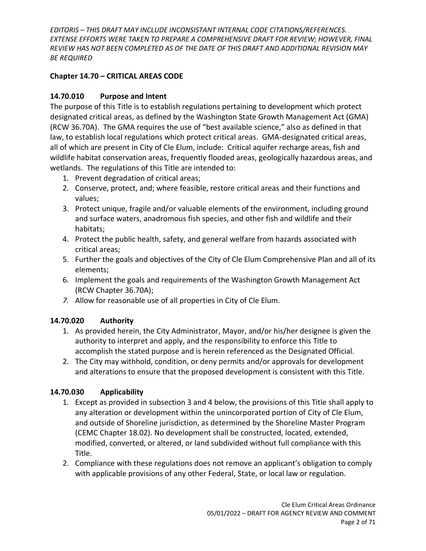### <span id="page-1-0"></span>**Chapter 14.70 – CRITICAL AREAS CODE**

### <span id="page-1-1"></span>**14.70.010 Purpose and Intent**

The purpose of this Title is to establish regulations pertaining to development which protect designated critical areas, as defined by the Washington State Growth Management Act (GMA) (RCW 36.70A). The GMA requires the use of "best available science," also as defined in that law, to establish local regulations which protect critical areas. GMA-designated critical areas, all of which are present in City of Cle Elum, include: Critical aquifer recharge areas, fish and wildlife habitat conservation areas, frequently flooded areas, geologically hazardous areas, and wetlands. The regulations of this Title are intended to:

- 1. Prevent degradation of critical areas;
- 2. Conserve, protect, and; where feasible, restore critical areas and their functions and values;
- 3. Protect unique, fragile and/or valuable elements of the environment, including ground and surface waters, anadromous fish species, and other fish and wildlife and their habitats;
- 4. Protect the public health, safety, and general welfare from hazards associated with critical areas;
- 5. Further the goals and objectives of the City of Cle Elum Comprehensive Plan and all of its elements;
- 6. Implement the goals and requirements of the Washington Growth Management Act (RCW Chapter 36.70A);
- *7.* Allow for reasonable use of all properties in City of Cle Elum.

# <span id="page-1-2"></span>**14.70.020 Authority**

- 1. As provided herein, the City Administrator, Mayor, and/or his/her designee is given the authority to interpret and apply, and the responsibility to enforce this Title to accomplish the stated purpose and is herein referenced as the Designated Official.
- 2. The City may withhold, condition, or deny permits and/or approvals for development and alterations to ensure that the proposed development is consistent with this Title.

# <span id="page-1-3"></span>**14.70.030 Applicability**

- 1. Except as provided in subsection 3 and 4 below, the provisions of this Title shall apply to any alteration or development within the unincorporated portion of City of Cle Elum, and outside of Shoreline jurisdiction, as determined by the Shoreline Master Program (CEMC Chapter 18.02). No development shall be constructed, located, extended, modified, converted, or altered, or land subdivided without full compliance with this Title.
- 2. Compliance with these regulations does not remove an applicant's obligation to comply with applicable provisions of any other Federal, State, or local law or regulation.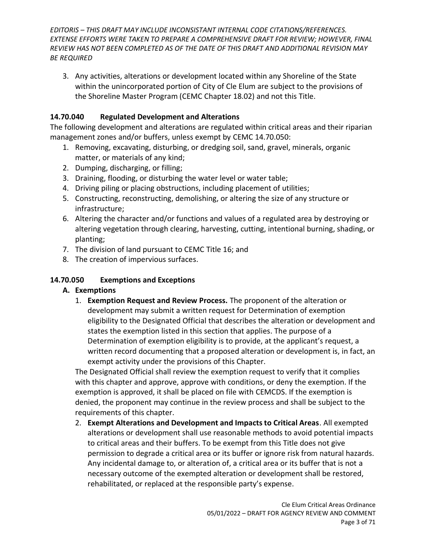3. Any activities, alterations or development located within any Shoreline of the State within the unincorporated portion of City of Cle Elum are subject to the provisions of the Shoreline Master Program (CEMC Chapter 18.02) and not this Title.

### <span id="page-2-0"></span>**14.70.040 Regulated Development and Alterations**

The following development and alterations are regulated within critical areas and their riparian management zones and/or buffers, unless exempt by CEMC 14.70.050:

- 1. Removing, excavating, disturbing, or dredging soil, sand, gravel, minerals, organic matter, or materials of any kind;
- 2. Dumping, discharging, or filling;
- 3. Draining, flooding, or disturbing the water level or water table;
- 4. Driving piling or placing obstructions, including placement of utilities;
- 5. Constructing, reconstructing, demolishing, or altering the size of any structure or infrastructure;
- 6. Altering the character and/or functions and values of a regulated area by destroying or altering vegetation through clearing, harvesting, cutting, intentional burning, shading, or planting;
- 7. The division of land pursuant to CEMC Title 16; and
- 8. The creation of impervious surfaces.

# <span id="page-2-1"></span>**14.70.050 Exemptions and Exceptions**

# **A. Exemptions**

1. **Exemption Request and Review Process.** The proponent of the alteration or development may submit a written request for Determination of exemption eligibility to the Designated Official that describes the alteration or development and states the exemption listed in this section that applies. The purpose of a Determination of exemption eligibility is to provide, at the applicant's request, a written record documenting that a proposed alteration or development is, in fact, an exempt activity under the provisions of this Chapter.

The Designated Official shall review the exemption request to verify that it complies with this chapter and approve, approve with conditions, or deny the exemption. If the exemption is approved, it shall be placed on file with CEMCDS. If the exemption is denied, the proponent may continue in the review process and shall be subject to the requirements of this chapter.

2. **Exempt Alterations and Development and Impacts to Critical Areas**. All exempted alterations or development shall use reasonable methods to avoid potential impacts to critical areas and their buffers. To be exempt from this Title does not give permission to degrade a critical area or its buffer or ignore risk from natural hazards. Any incidental damage to, or alteration of, a critical area or its buffer that is not a necessary outcome of the exempted alteration or development shall be restored, rehabilitated, or replaced at the responsible party's expense.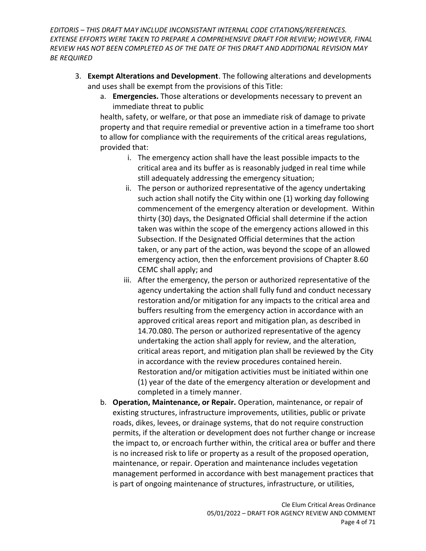- 3. **Exempt Alterations and Development**. The following alterations and developments and uses shall be exempt from the provisions of this Title:
	- a. **Emergencies.** Those alterations or developments necessary to prevent an immediate threat to public

health, safety, or welfare, or that pose an immediate risk of damage to private property and that require remedial or preventive action in a timeframe too short to allow for compliance with the requirements of the critical areas regulations, provided that:

- i. The emergency action shall have the least possible impacts to the critical area and its buffer as is reasonably judged in real time while still adequately addressing the emergency situation;
- ii. The person or authorized representative of the agency undertaking such action shall notify the City within one (1) working day following commencement of the emergency alteration or development. Within thirty (30) days, the Designated Official shall determine if the action taken was within the scope of the emergency actions allowed in this Subsection. If the Designated Official determines that the action taken, or any part of the action, was beyond the scope of an allowed emergency action, then the enforcement provisions of Chapter 8.60 CEMC shall apply; and
- iii. After the emergency, the person or authorized representative of the agency undertaking the action shall fully fund and conduct necessary restoration and/or mitigation for any impacts to the critical area and buffers resulting from the emergency action in accordance with an approved critical areas report and mitigation plan, as described in 14.70.080. The person or authorized representative of the agency undertaking the action shall apply for review, and the alteration, critical areas report, and mitigation plan shall be reviewed by the City in accordance with the review procedures contained herein. Restoration and/or mitigation activities must be initiated within one (1) year of the date of the emergency alteration or development and completed in a timely manner.
- b. **Operation, Maintenance, or Repair.** Operation, maintenance, or repair of existing structures, infrastructure improvements, utilities, public or private roads, dikes, levees, or drainage systems, that do not require construction permits, if the alteration or development does not further change or increase the impact to, or encroach further within, the critical area or buffer and there is no increased risk to life or property as a result of the proposed operation, maintenance, or repair. Operation and maintenance includes vegetation management performed in accordance with best management practices that is part of ongoing maintenance of structures, infrastructure, or utilities,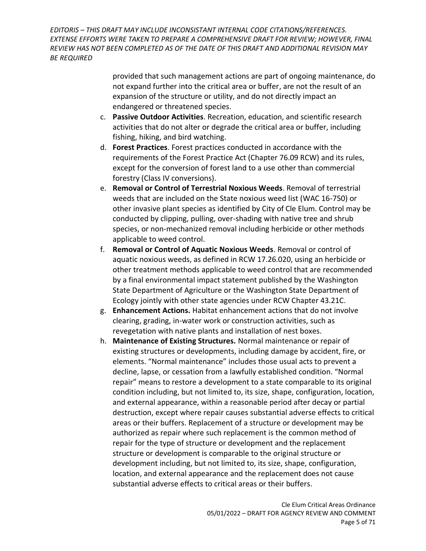> provided that such management actions are part of ongoing maintenance, do not expand further into the critical area or buffer, are not the result of an expansion of the structure or utility, and do not directly impact an endangered or threatened species.

- c. **Passive Outdoor Activities**. Recreation, education, and scientific research activities that do not alter or degrade the critical area or buffer, including fishing, hiking, and bird watching.
- d. **Forest Practices**. Forest practices conducted in accordance with the requirements of the Forest Practice Act (Chapter 76.09 RCW) and its rules, except for the conversion of forest land to a use other than commercial forestry (Class IV conversions).
- e. **Removal or Control of Terrestrial Noxious Weeds**. Removal of terrestrial weeds that are included on the State noxious weed list (WAC 16-750) or other invasive plant species as identified by City of Cle Elum. Control may be conducted by clipping, pulling, over-shading with native tree and shrub species, or non-mechanized removal including herbicide or other methods applicable to weed control.
- f. **Removal or Control of Aquatic Noxious Weeds**. Removal or control of aquatic noxious weeds, as defined in RCW 17.26.020, using an herbicide or other treatment methods applicable to weed control that are recommended by a final environmental impact statement published by the Washington State Department of Agriculture or the Washington State Department of Ecology jointly with other state agencies under RCW Chapter 43.21C.
- g. **Enhancement Actions.** Habitat enhancement actions that do not involve clearing, grading, in-water work or construction activities, such as revegetation with native plants and installation of nest boxes.
- h. **Maintenance of Existing Structures.** Normal maintenance or repair of existing structures or developments, including damage by accident, fire, or elements. "Normal maintenance" includes those usual acts to prevent a decline, lapse, or cessation from a lawfully established condition. "Normal repair" means to restore a development to a state comparable to its original condition including, but not limited to, its size, shape, configuration, location, and external appearance, within a reasonable period after decay or partial destruction, except where repair causes substantial adverse effects to critical areas or their buffers. Replacement of a structure or development may be authorized as repair where such replacement is the common method of repair for the type of structure or development and the replacement structure or development is comparable to the original structure or development including, but not limited to, its size, shape, configuration, location, and external appearance and the replacement does not cause substantial adverse effects to critical areas or their buffers.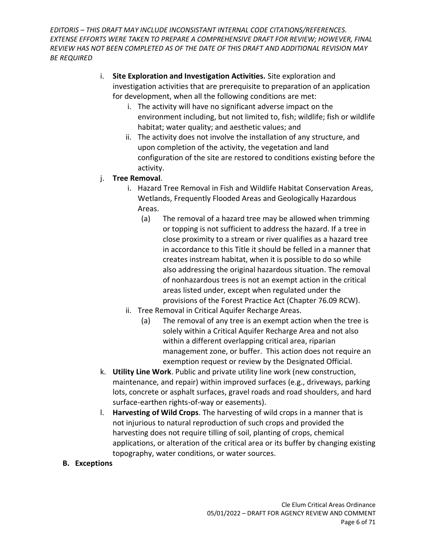- i. **Site Exploration and Investigation Activities.** Site exploration and investigation activities that are prerequisite to preparation of an application for development, when all the following conditions are met:
	- i. The activity will have no significant adverse impact on the environment including, but not limited to, fish; wildlife; fish or wildlife habitat; water quality; and aesthetic values; and
	- ii. The activity does not involve the installation of any structure, and upon completion of the activity, the vegetation and land configuration of the site are restored to conditions existing before the activity.
- j. **Tree Removal**.
	- i. Hazard Tree Removal in Fish and Wildlife Habitat Conservation Areas, Wetlands, Frequently Flooded Areas and Geologically Hazardous Areas.
		- (a) The removal of a hazard tree may be allowed when trimming or topping is not sufficient to address the hazard. If a tree in close proximity to a stream or river qualifies as a hazard tree in accordance to this Title it should be felled in a manner that creates instream habitat, when it is possible to do so while also addressing the original hazardous situation. The removal of nonhazardous trees is not an exempt action in the critical areas listed under, except when regulated under the provisions of the Forest Practice Act (Chapter 76.09 RCW).
	- ii. Tree Removal in Critical Aquifer Recharge Areas.
		- (a) The removal of any tree is an exempt action when the tree is solely within a Critical Aquifer Recharge Area and not also within a different overlapping critical area, riparian management zone, or buffer. This action does not require an exemption request or review by the Designated Official.
- k. **Utility Line Work**. Public and private utility line work (new construction, maintenance, and repair) within improved surfaces (e.g., driveways, parking lots, concrete or asphalt surfaces, gravel roads and road shoulders, and hard surface-earthen rights-of-way or easements).
- l. **Harvesting of Wild Crops**. The harvesting of wild crops in a manner that is not injurious to natural reproduction of such crops and provided the harvesting does not require tilling of soil, planting of crops, chemical applications, or alteration of the critical area or its buffer by changing existing topography, water conditions, or water sources.
- **B. Exceptions**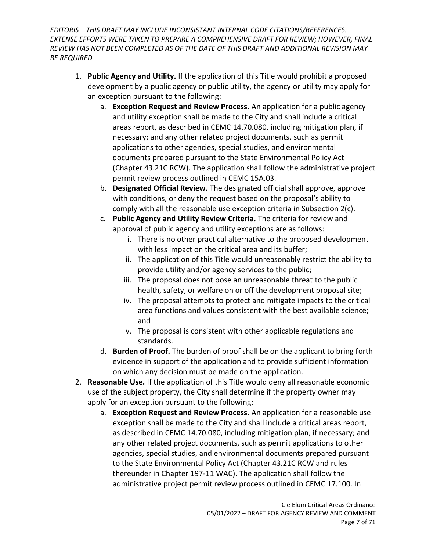- 1. **Public Agency and Utility.** If the application of this Title would prohibit a proposed development by a public agency or public utility, the agency or utility may apply for an exception pursuant to the following:
	- a. **Exception Request and Review Process.** An application for a public agency and utility exception shall be made to the City and shall include a critical areas report, as described in CEMC 14.70.080, including mitigation plan, if necessary; and any other related project documents, such as permit applications to other agencies, special studies, and environmental documents prepared pursuant to the State Environmental Policy Act (Chapter 43.21C RCW). The application shall follow the administrative project permit review process outlined in CEMC 15A.03.
	- b. **Designated Official Review.** The designated official shall approve, approve with conditions, or deny the request based on the proposal's ability to comply with all the reasonable use exception criteria in Subsection 2(c).
	- c. **Public Agency and Utility Review Criteria.** The criteria for review and approval of public agency and utility exceptions are as follows:
		- i. There is no other practical alternative to the proposed development with less impact on the critical area and its buffer;
		- ii. The application of this Title would unreasonably restrict the ability to provide utility and/or agency services to the public;
		- iii. The proposal does not pose an unreasonable threat to the public health, safety, or welfare on or off the development proposal site;
		- iv. The proposal attempts to protect and mitigate impacts to the critical area functions and values consistent with the best available science; and
		- v. The proposal is consistent with other applicable regulations and standards.
	- d. **Burden of Proof.** The burden of proof shall be on the applicant to bring forth evidence in support of the application and to provide sufficient information on which any decision must be made on the application.
- 2. **Reasonable Use.** If the application of this Title would deny all reasonable economic use of the subject property, the City shall determine if the property owner may apply for an exception pursuant to the following:
	- a. **Exception Request and Review Process.** An application for a reasonable use exception shall be made to the City and shall include a critical areas report, as described in CEMC 14.70.080, including mitigation plan, if necessary; and any other related project documents, such as permit applications to other agencies, special studies, and environmental documents prepared pursuant to the State Environmental Policy Act (Chapter 43.21C RCW and rules thereunder in Chapter 197-11 WAC). The application shall follow the administrative project permit review process outlined in CEMC 17.100. In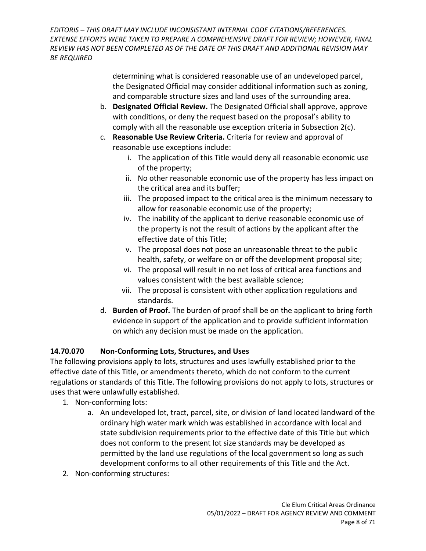> determining what is considered reasonable use of an undeveloped parcel, the Designated Official may consider additional information such as zoning, and comparable structure sizes and land uses of the surrounding area.

- b. **Designated Official Review.** The Designated Official shall approve, approve with conditions, or deny the request based on the proposal's ability to comply with all the reasonable use exception criteria in Subsection 2(c).
- c. **Reasonable Use Review Criteria.** Criteria for review and approval of reasonable use exceptions include:
	- i. The application of this Title would deny all reasonable economic use of the property;
	- ii. No other reasonable economic use of the property has less impact on the critical area and its buffer;
	- iii. The proposed impact to the critical area is the minimum necessary to allow for reasonable economic use of the property;
	- iv. The inability of the applicant to derive reasonable economic use of the property is not the result of actions by the applicant after the effective date of this Title;
	- v. The proposal does not pose an unreasonable threat to the public health, safety, or welfare on or off the development proposal site;
	- vi. The proposal will result in no net loss of critical area functions and values consistent with the best available science;
	- vii. The proposal is consistent with other application regulations and standards.
- d. **Burden of Proof.** The burden of proof shall be on the applicant to bring forth evidence in support of the application and to provide sufficient information on which any decision must be made on the application.

# <span id="page-7-0"></span>**14.70.070 Non-Conforming Lots, Structures, and Uses**

The following provisions apply to lots, structures and uses lawfully established prior to the effective date of this Title, or amendments thereto, which do not conform to the current regulations or standards of this Title. The following provisions do not apply to lots, structures or uses that were unlawfully established.

- 1. Non-conforming lots:
	- a. An undeveloped lot, tract, parcel, site, or division of land located landward of the ordinary high water mark which was established in accordance with local and state subdivision requirements prior to the effective date of this Title but which does not conform to the present lot size standards may be developed as permitted by the land use regulations of the local government so long as such development conforms to all other requirements of this Title and the Act.
- 2. Non-conforming structures: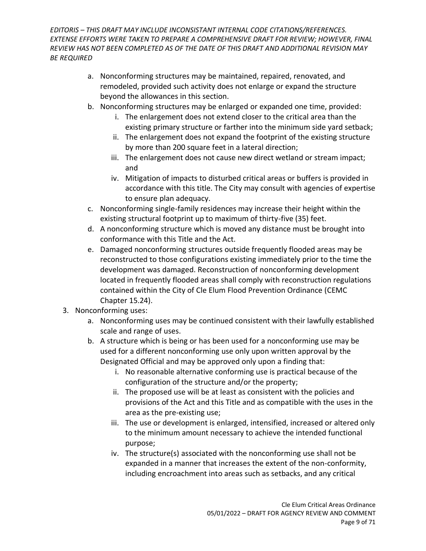- a. Nonconforming structures may be maintained, repaired, renovated, and remodeled, provided such activity does not enlarge or expand the structure beyond the allowances in this section.
- b. Nonconforming structures may be enlarged or expanded one time, provided:
	- i. The enlargement does not extend closer to the critical area than the existing primary structure or farther into the minimum side yard setback;
	- ii. The enlargement does not expand the footprint of the existing structure by more than 200 square feet in a lateral direction;
	- iii. The enlargement does not cause new direct wetland or stream impact; and
	- iv. Mitigation of impacts to disturbed critical areas or buffers is provided in accordance with this title. The City may consult with agencies of expertise to ensure plan adequacy.
- c. Nonconforming single-family residences may increase their height within the existing structural footprint up to maximum of thirty-five (35) feet.
- d. A nonconforming structure which is moved any distance must be brought into conformance with this Title and the Act.
- e. Damaged nonconforming structures outside frequently flooded areas may be reconstructed to those configurations existing immediately prior to the time the development was damaged. Reconstruction of nonconforming development located in frequently flooded areas shall comply with reconstruction regulations contained within the City of Cle Elum Flood Prevention Ordinance (CEMC Chapter 15.24).
- 3. Nonconforming uses:
	- a. Nonconforming uses may be continued consistent with their lawfully established scale and range of uses.
	- b. A structure which is being or has been used for a nonconforming use may be used for a different nonconforming use only upon written approval by the Designated Official and may be approved only upon a finding that:
		- i. No reasonable alternative conforming use is practical because of the configuration of the structure and/or the property;
		- ii. The proposed use will be at least as consistent with the policies and provisions of the Act and this Title and as compatible with the uses in the area as the pre-existing use;
		- iii. The use or development is enlarged, intensified, increased or altered only to the minimum amount necessary to achieve the intended functional purpose;
		- iv. The structure(s) associated with the nonconforming use shall not be expanded in a manner that increases the extent of the non-conformity, including encroachment into areas such as setbacks, and any critical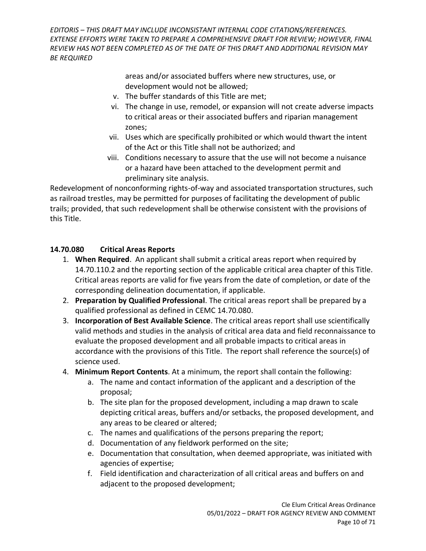> areas and/or associated buffers where new structures, use, or development would not be allowed;

- v. The buffer standards of this Title are met;
- vi. The change in use, remodel, or expansion will not create adverse impacts to critical areas or their associated buffers and riparian management zones;
- vii. Uses which are specifically prohibited or which would thwart the intent of the Act or this Title shall not be authorized; and
- viii. Conditions necessary to assure that the use will not become a nuisance or a hazard have been attached to the development permit and preliminary site analysis.

Redevelopment of nonconforming rights-of-way and associated transportation structures, such as railroad trestles, may be permitted for purposes of facilitating the development of public trails; provided, that such redevelopment shall be otherwise consistent with the provisions of this Title.

#### <span id="page-9-0"></span>**14.70.080 Critical Areas Reports**

- 1. **When Required**. An applicant shall submit a critical areas report when required by 14.70.110.2 and the reporting section of the applicable critical area chapter of this Title. Critical areas reports are valid for five years from the date of completion, or date of the corresponding delineation documentation, if applicable.
- 2. **Preparation by Qualified Professional**. The critical areas report shall be prepared by a qualified professional as defined in CEMC 14.70.080.
- 3. **Incorporation of Best Available Science**. The critical areas report shall use scientifically valid methods and studies in the analysis of critical area data and field reconnaissance to evaluate the proposed development and all probable impacts to critical areas in accordance with the provisions of this Title. The report shall reference the source(s) of science used.
- 4. **Minimum Report Contents**. At a minimum, the report shall contain the following:
	- a. The name and contact information of the applicant and a description of the proposal;
	- b. The site plan for the proposed development, including a map drawn to scale depicting critical areas, buffers and/or setbacks, the proposed development, and any areas to be cleared or altered;
	- c. The names and qualifications of the persons preparing the report;
	- d. Documentation of any fieldwork performed on the site;
	- e. Documentation that consultation, when deemed appropriate, was initiated with agencies of expertise;
	- f. Field identification and characterization of all critical areas and buffers on and adjacent to the proposed development;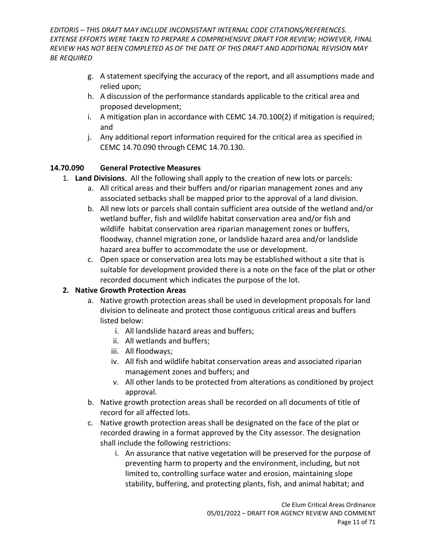- g. A statement specifying the accuracy of the report, and all assumptions made and relied upon;
- h. A discussion of the performance standards applicable to the critical area and proposed development;
- i. A mitigation plan in accordance with CEMC 14.70.100(2) if mitigation is required; and
- j. Any additional report information required for the critical area as specified in CEMC 14.70.090 through CEMC 14.70.130.

### <span id="page-10-0"></span>**14.70.090 General Protective Measures**

- 1. **Land Divisions**. All the following shall apply to the creation of new lots or parcels:
	- a. All critical areas and their buffers and/or riparian management zones and any associated setbacks shall be mapped prior to the approval of a land division.
	- b. All new lots or parcels shall contain sufficient area outside of the wetland and/or wetland buffer, fish and wildlife habitat conservation area and/or fish and wildlife habitat conservation area riparian management zones or buffers, floodway, channel migration zone, or landslide hazard area and/or landslide hazard area buffer to accommodate the use or development.
	- c. Open space or conservation area lots may be established without a site that is suitable for development provided there is a note on the face of the plat or other recorded document which indicates the purpose of the lot.

#### **2. Native Growth Protection Areas**

- a. Native growth protection areas shall be used in development proposals for land division to delineate and protect those contiguous critical areas and buffers listed below:
	- i. All landslide hazard areas and buffers;
	- ii. All wetlands and buffers;
	- iii. All floodways;
	- iv. All fish and wildlife habitat conservation areas and associated riparian management zones and buffers; and
	- v. All other lands to be protected from alterations as conditioned by project approval.
- b. Native growth protection areas shall be recorded on all documents of title of record for all affected lots.
- c. Native growth protection areas shall be designated on the face of the plat or recorded drawing in a format approved by the City assessor. The designation shall include the following restrictions:
	- i. An assurance that native vegetation will be preserved for the purpose of preventing harm to property and the environment, including, but not limited to, controlling surface water and erosion, maintaining slope stability, buffering, and protecting plants, fish, and animal habitat; and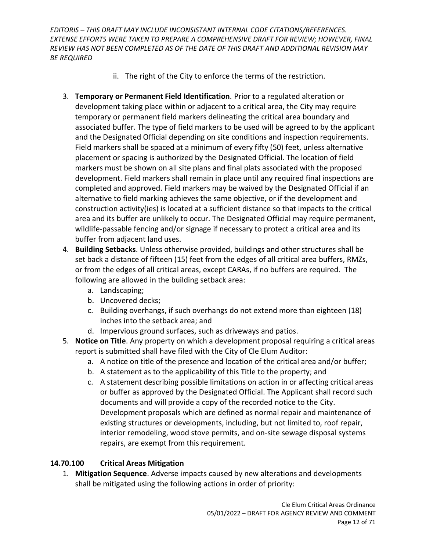- ii. The right of the City to enforce the terms of the restriction.
- 3. **Temporary or Permanent Field Identification***.* Prior to a regulated alteration or development taking place within or adjacent to a critical area, the City may require temporary or permanent field markers delineating the critical area boundary and associated buffer. The type of field markers to be used will be agreed to by the applicant and the Designated Official depending on site conditions and inspection requirements. Field markers shall be spaced at a minimum of every fifty (50) feet, unless alternative placement or spacing is authorized by the Designated Official. The location of field markers must be shown on all site plans and final plats associated with the proposed development. Field markers shall remain in place until any required final inspections are completed and approved. Field markers may be waived by the Designated Official if an alternative to field marking achieves the same objective, or if the development and construction activity(ies) is located at a sufficient distance so that impacts to the critical area and its buffer are unlikely to occur. The Designated Official may require permanent, wildlife-passable fencing and/or signage if necessary to protect a critical area and its buffer from adjacent land uses.
- 4. **Building Setbacks**. Unless otherwise provided, buildings and other structures shall be set back a distance of fifteen (15) feet from the edges of all critical area buffers, RMZs, or from the edges of all critical areas, except CARAs, if no buffers are required. The following are allowed in the building setback area:
	- a. Landscaping;
	- b. Uncovered decks;
	- c. Building overhangs, if such overhangs do not extend more than eighteen (18) inches into the setback area; and
	- d. Impervious ground surfaces, such as driveways and patios.
- 5. **Notice on Title**. Any property on which a development proposal requiring a critical areas report is submitted shall have filed with the City of Cle Elum Auditor:
	- a. A notice on title of the presence and location of the critical area and/or buffer;
	- b. A statement as to the applicability of this Title to the property; and
	- c. A statement describing possible limitations on action in or affecting critical areas or buffer as approved by the Designated Official. The Applicant shall record such documents and will provide a copy of the recorded notice to the City. Development proposals which are defined as normal repair and maintenance of existing structures or developments, including, but not limited to, roof repair, interior remodeling, wood stove permits, and on-site sewage disposal systems repairs, are exempt from this requirement.

# <span id="page-11-0"></span>**14.70.100 Critical Areas Mitigation**

1. **Mitigation Sequence**. Adverse impacts caused by new alterations and developments shall be mitigated using the following actions in order of priority: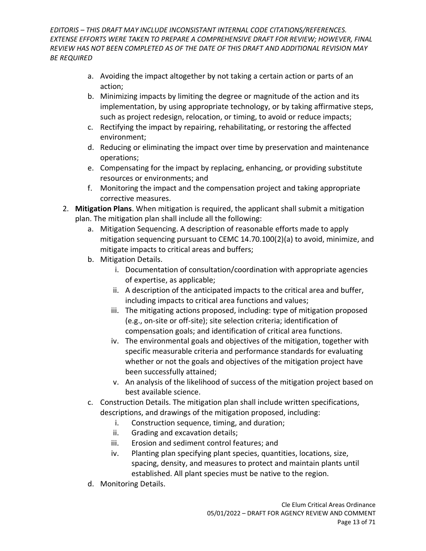- a. Avoiding the impact altogether by not taking a certain action or parts of an action;
- b. Minimizing impacts by limiting the degree or magnitude of the action and its implementation, by using appropriate technology, or by taking affirmative steps, such as project redesign, relocation, or timing, to avoid or reduce impacts;
- c. Rectifying the impact by repairing, rehabilitating, or restoring the affected environment;
- d. Reducing or eliminating the impact over time by preservation and maintenance operations;
- e. Compensating for the impact by replacing, enhancing, or providing substitute resources or environments; and
- f. Monitoring the impact and the compensation project and taking appropriate corrective measures.
- 2. **Mitigation Plans**. When mitigation is required, the applicant shall submit a mitigation plan. The mitigation plan shall include all the following:
	- a. Mitigation Sequencing. A description of reasonable efforts made to apply mitigation sequencing pursuant to CEMC 14.70.100(2)(a) to avoid, minimize, and mitigate impacts to critical areas and buffers;
	- b. Mitigation Details.
		- i. Documentation of consultation/coordination with appropriate agencies of expertise, as applicable;
		- ii. A description of the anticipated impacts to the critical area and buffer, including impacts to critical area functions and values;
		- iii. The mitigating actions proposed, including: type of mitigation proposed (e.g., on-site or off-site); site selection criteria; identification of compensation goals; and identification of critical area functions.
		- iv. The environmental goals and objectives of the mitigation, together with specific measurable criteria and performance standards for evaluating whether or not the goals and objectives of the mitigation project have been successfully attained;
		- v. An analysis of the likelihood of success of the mitigation project based on best available science.
	- c. Construction Details. The mitigation plan shall include written specifications, descriptions, and drawings of the mitigation proposed, including:
		- i. Construction sequence, timing, and duration;
		- ii. Grading and excavation details;
		- iii. Erosion and sediment control features; and
		- iv. Planting plan specifying plant species, quantities, locations, size, spacing, density, and measures to protect and maintain plants until established. All plant species must be native to the region.
	- d. Monitoring Details.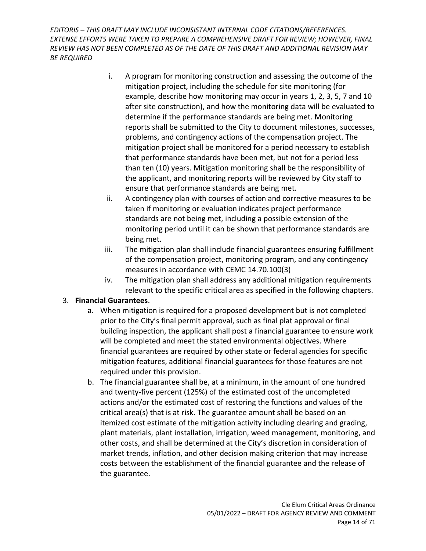- i. A program for monitoring construction and assessing the outcome of the mitigation project, including the schedule for site monitoring (for example, describe how monitoring may occur in years 1, 2, 3, 5, 7 and 10 after site construction), and how the monitoring data will be evaluated to determine if the performance standards are being met. Monitoring reports shall be submitted to the City to document milestones, successes, problems, and contingency actions of the compensation project. The mitigation project shall be monitored for a period necessary to establish that performance standards have been met, but not for a period less than ten (10) years. Mitigation monitoring shall be the responsibility of the applicant, and monitoring reports will be reviewed by City staff to ensure that performance standards are being met.
- ii. A contingency plan with courses of action and corrective measures to be taken if monitoring or evaluation indicates project performance standards are not being met, including a possible extension of the monitoring period until it can be shown that performance standards are being met.
- iii. The mitigation plan shall include financial guarantees ensuring fulfillment of the compensation project, monitoring program, and any contingency measures in accordance with CEMC 14.70.100(3)
- iv. The mitigation plan shall address any additional mitigation requirements relevant to the specific critical area as specified in the following chapters.

### 3. **Financial Guarantees**.

- a. When mitigation is required for a proposed development but is not completed prior to the City's final permit approval, such as final plat approval or final building inspection, the applicant shall post a financial guarantee to ensure work will be completed and meet the stated environmental objectives. Where financial guarantees are required by other state or federal agencies for specific mitigation features, additional financial guarantees for those features are not required under this provision.
- b. The financial guarantee shall be, at a minimum, in the amount of one hundred and twenty-five percent (125%) of the estimated cost of the uncompleted actions and/or the estimated cost of restoring the functions and values of the critical area(s) that is at risk. The guarantee amount shall be based on an itemized cost estimate of the mitigation activity including clearing and grading, plant materials, plant installation, irrigation, weed management, monitoring, and other costs, and shall be determined at the City's discretion in consideration of market trends, inflation, and other decision making criterion that may increase costs between the establishment of the financial guarantee and the release of the guarantee.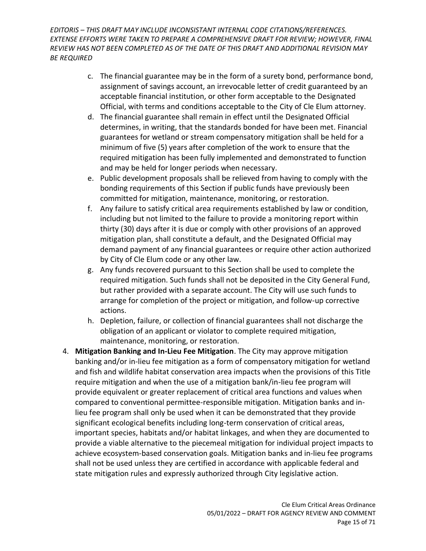- c. The financial guarantee may be in the form of a surety bond, performance bond, assignment of savings account, an irrevocable letter of credit guaranteed by an acceptable financial institution, or other form acceptable to the Designated Official, with terms and conditions acceptable to the City of Cle Elum attorney.
- d. The financial guarantee shall remain in effect until the Designated Official determines, in writing, that the standards bonded for have been met. Financial guarantees for wetland or stream compensatory mitigation shall be held for a minimum of five (5) years after completion of the work to ensure that the required mitigation has been fully implemented and demonstrated to function and may be held for longer periods when necessary.
- e. Public development proposals shall be relieved from having to comply with the bonding requirements of this Section if public funds have previously been committed for mitigation, maintenance, monitoring, or restoration.
- f. Any failure to satisfy critical area requirements established by law or condition, including but not limited to the failure to provide a monitoring report within thirty (30) days after it is due or comply with other provisions of an approved mitigation plan, shall constitute a default, and the Designated Official may demand payment of any financial guarantees or require other action authorized by City of Cle Elum code or any other law.
- g. Any funds recovered pursuant to this Section shall be used to complete the required mitigation. Such funds shall not be deposited in the City General Fund, but rather provided with a separate account. The City will use such funds to arrange for completion of the project or mitigation, and follow-up corrective actions.
- h. Depletion, failure, or collection of financial guarantees shall not discharge the obligation of an applicant or violator to complete required mitigation, maintenance, monitoring, or restoration.
- 4. **Mitigation Banking and In-Lieu Fee Mitigation**. The City may approve mitigation banking and/or in-lieu fee mitigation as a form of compensatory mitigation for wetland and fish and wildlife habitat conservation area impacts when the provisions of this Title require mitigation and when the use of a mitigation bank/in-lieu fee program will provide equivalent or greater replacement of critical area functions and values when compared to conventional permittee-responsible mitigation. Mitigation banks and inlieu fee program shall only be used when it can be demonstrated that they provide significant ecological benefits including long-term conservation of critical areas, important species, habitats and/or habitat linkages, and when they are documented to provide a viable alternative to the piecemeal mitigation for individual project impacts to achieve ecosystem-based conservation goals. Mitigation banks and in-lieu fee programs shall not be used unless they are certified in accordance with applicable federal and state mitigation rules and expressly authorized through City legislative action.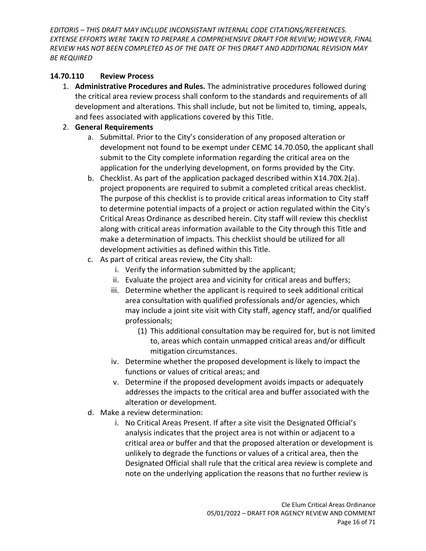#### <span id="page-15-0"></span>**14.70.110 Review Process**

1. **Administrative Procedures and Rules.** The administrative procedures followed during the critical area review process shall conform to the standards and requirements of all development and alterations. This shall include, but not be limited to, timing, appeals, and fees associated with applications covered by this Title.

#### 2. **General Requirements**

- a. Submittal. Prior to the City's consideration of any proposed alteration or development not found to be exempt under CEMC 14.70.050, the applicant shall submit to the City complete information regarding the critical area on the application for the underlying development, on forms provided by the City.
- b. Checklist. As part of the application packaged described within X14.70X.2(a). project proponents are required to submit a completed critical areas checklist. The purpose of this checklist is to provide critical areas information to City staff to determine potential impacts of a project or action regulated within the City's Critical Areas Ordinance as described herein. City staff will review this checklist along with critical areas information available to the City through this Title and make a determination of impacts. This checklist should be utilized for all development activities as defined within this Title.
- c. As part of critical areas review, the City shall:
	- i. Verify the information submitted by the applicant;
	- ii. Evaluate the project area and vicinity for critical areas and buffers;
	- iii. Determine whether the applicant is required to seek additional critical area consultation with qualified professionals and/or agencies, which may include a joint site visit with City staff, agency staff, and/or qualified professionals;
		- (1) This additional consultation may be required for, but is not limited to, areas which contain unmapped critical areas and/or difficult mitigation circumstances.
	- iv. Determine whether the proposed development is likely to impact the functions or values of critical areas; and
	- v. Determine if the proposed development avoids impacts or adequately addresses the impacts to the critical area and buffer associated with the alteration or development.
- d. Make a review determination:
	- i. No Critical Areas Present. If after a site visit the Designated Official's analysis indicates that the project area is not within or adjacent to a critical area or buffer and that the proposed alteration or development is unlikely to degrade the functions or values of a critical area, then the Designated Official shall rule that the critical area review is complete and note on the underlying application the reasons that no further review is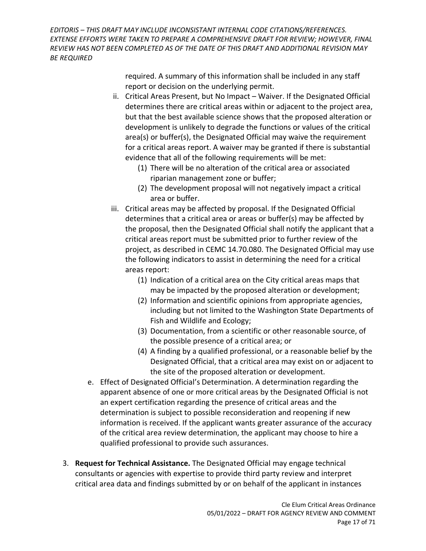> required. A summary of this information shall be included in any staff report or decision on the underlying permit.

- ii. Critical Areas Present, but No Impact Waiver. If the Designated Official determines there are critical areas within or adjacent to the project area, but that the best available science shows that the proposed alteration or development is unlikely to degrade the functions or values of the critical area(s) or buffer(s), the Designated Official may waive the requirement for a critical areas report. A waiver may be granted if there is substantial evidence that all of the following requirements will be met:
	- (1) There will be no alteration of the critical area or associated riparian management zone or buffer;
	- (2) The development proposal will not negatively impact a critical area or buffer.
- iii. Critical areas may be affected by proposal. If the Designated Official determines that a critical area or areas or buffer(s) may be affected by the proposal, then the Designated Official shall notify the applicant that a critical areas report must be submitted prior to further review of the project, as described in CEMC 14.70.080. The Designated Official may use the following indicators to assist in determining the need for a critical areas report:
	- (1) Indication of a critical area on the City critical areas maps that may be impacted by the proposed alteration or development;
	- (2) Information and scientific opinions from appropriate agencies, including but not limited to the Washington State Departments of Fish and Wildlife and Ecology;
	- (3) Documentation, from a scientific or other reasonable source, of the possible presence of a critical area; or
	- (4) A finding by a qualified professional, or a reasonable belief by the Designated Official, that a critical area may exist on or adjacent to the site of the proposed alteration or development.
- e. Effect of Designated Official's Determination. A determination regarding the apparent absence of one or more critical areas by the Designated Official is not an expert certification regarding the presence of critical areas and the determination is subject to possible reconsideration and reopening if new information is received. If the applicant wants greater assurance of the accuracy of the critical area review determination, the applicant may choose to hire a qualified professional to provide such assurances.
- 3. **Request for Technical Assistance.** The Designated Official may engage technical consultants or agencies with expertise to provide third party review and interpret critical area data and findings submitted by or on behalf of the applicant in instances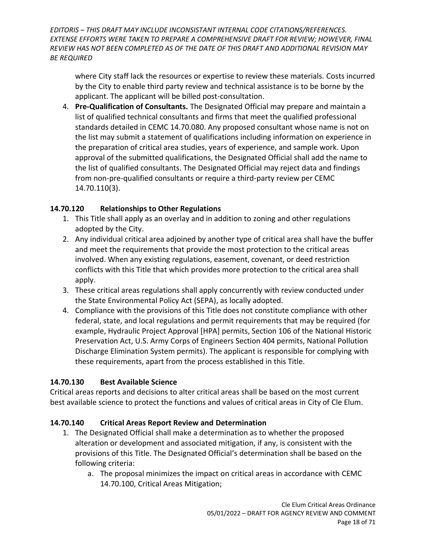where City staff lack the resources or expertise to review these materials. Costs incurred by the City to enable third party review and technical assistance is to be borne by the applicant. The applicant will be billed post-consultation.

4. **Pre-Qualification of Consultants.** The Designated Official may prepare and maintain a list of qualified technical consultants and firms that meet the qualified professional standards detailed in CEMC 14.70.080. Any proposed consultant whose name is not on the list may submit a statement of qualifications including information on experience in the preparation of critical area studies, years of experience, and sample work. Upon approval of the submitted qualifications, the Designated Official shall add the name to the list of qualified consultants. The Designated Official may reject data and findings from non-pre-qualified consultants or require a third-party review per CEMC 14.70.110(3).

### <span id="page-17-0"></span>**14.70.120 Relationships to Other Regulations**

- 1. This Title shall apply as an overlay and in addition to zoning and other regulations adopted by the City.
- 2. Any individual critical area adjoined by another type of critical area shall have the buffer and meet the requirements that provide the most protection to the critical areas involved. When any existing regulations, easement, covenant, or deed restriction conflicts with this Title that which provides more protection to the critical area shall apply.
- 3. These critical areas regulations shall apply concurrently with review conducted under the State Environmental Policy Act (SEPA), as locally adopted.
- 4. Compliance with the provisions of this Title does not constitute compliance with other federal, state, and local regulations and permit requirements that may be required (for example, Hydraulic Project Approval [HPA] permits, Section 106 of the National Historic Preservation Act, U.S. Army Corps of Engineers Section 404 permits, National Pollution Discharge Elimination System permits). The applicant is responsible for complying with these requirements, apart from the process established in this Title.

### <span id="page-17-1"></span>**14.70.130 Best Available Science**

Critical areas reports and decisions to alter critical areas shall be based on the most current best available science to protect the functions and values of critical areas in City of Cle Elum.

#### <span id="page-17-2"></span>**14.70.140 Critical Areas Report Review and Determination**

- 1. The Designated Official shall make a determination as to whether the proposed alteration or development and associated mitigation, if any, is consistent with the provisions of this Title. The Designated Official's determination shall be based on the following criteria:
	- a. The proposal minimizes the impact on critical areas in accordance with CEMC 14.70.100, Critical Areas Mitigation;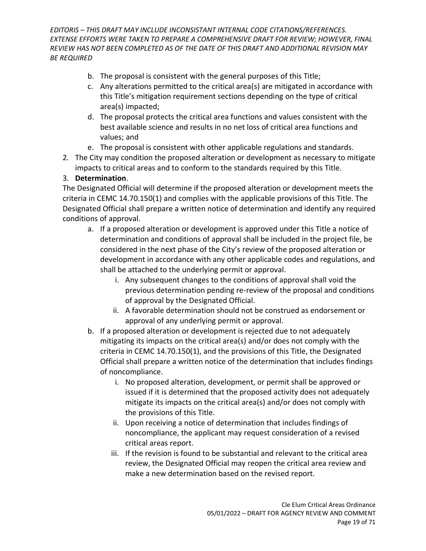- b. The proposal is consistent with the general purposes of this Title;
- c. Any alterations permitted to the critical area(s) are mitigated in accordance with this Title's mitigation requirement sections depending on the type of critical area(s) impacted;
- d. The proposal protects the critical area functions and values consistent with the best available science and results in no net loss of critical area functions and values; and
- e. The proposal is consistent with other applicable regulations and standards.
- 2. The City may condition the proposed alteration or development as necessary to mitigate impacts to critical areas and to conform to the standards required by this Title.

### 3. **Determination**.

The Designated Official will determine if the proposed alteration or development meets the criteria in CEMC 14.70.150(1) and complies with the applicable provisions of this Title. The Designated Official shall prepare a written notice of determination and identify any required conditions of approval.

- a. If a proposed alteration or development is approved under this Title a notice of determination and conditions of approval shall be included in the project file, be considered in the next phase of the City's review of the proposed alteration or development in accordance with any other applicable codes and regulations, and shall be attached to the underlying permit or approval.
	- i. Any subsequent changes to the conditions of approval shall void the previous determination pending re-review of the proposal and conditions of approval by the Designated Official.
	- ii. A favorable determination should not be construed as endorsement or approval of any underlying permit or approval.
- b. If a proposed alteration or development is rejected due to not adequately mitigating its impacts on the critical area(s) and/or does not comply with the criteria in CEMC 14.70.150(1), and the provisions of this Title, the Designated Official shall prepare a written notice of the determination that includes findings of noncompliance.
	- i. No proposed alteration, development, or permit shall be approved or issued if it is determined that the proposed activity does not adequately mitigate its impacts on the critical area(s) and/or does not comply with the provisions of this Title.
	- ii. Upon receiving a notice of determination that includes findings of noncompliance, the applicant may request consideration of a revised critical areas report.
	- iii. If the revision is found to be substantial and relevant to the critical area review, the Designated Official may reopen the critical area review and make a new determination based on the revised report.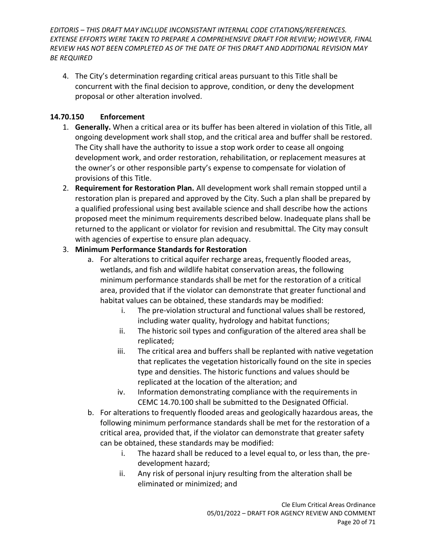4. The City's determination regarding critical areas pursuant to this Title shall be concurrent with the final decision to approve, condition, or deny the development proposal or other alteration involved.

### <span id="page-19-0"></span>**14.70.150 Enforcement**

- 1. **Generally.** When a critical area or its buffer has been altered in violation of this Title, all ongoing development work shall stop, and the critical area and buffer shall be restored. The City shall have the authority to issue a stop work order to cease all ongoing development work, and order restoration, rehabilitation, or replacement measures at the owner's or other responsible party's expense to compensate for violation of provisions of this Title.
- 2. **Requirement for Restoration Plan.** All development work shall remain stopped until a restoration plan is prepared and approved by the City. Such a plan shall be prepared by a qualified professional using best available science and shall describe how the actions proposed meet the minimum requirements described below. Inadequate plans shall be returned to the applicant or violator for revision and resubmittal. The City may consult with agencies of expertise to ensure plan adequacy.

#### 3. **Minimum Performance Standards for Restoration**

- a. For alterations to critical aquifer recharge areas, frequently flooded areas, wetlands, and fish and wildlife habitat conservation areas, the following minimum performance standards shall be met for the restoration of a critical area, provided that if the violator can demonstrate that greater functional and habitat values can be obtained, these standards may be modified:
	- i. The pre-violation structural and functional values shall be restored, including water quality, hydrology and habitat functions;
	- ii. The historic soil types and configuration of the altered area shall be replicated;
	- iii. The critical area and buffers shall be replanted with native vegetation that replicates the vegetation historically found on the site in species type and densities. The historic functions and values should be replicated at the location of the alteration; and
	- iv. Information demonstrating compliance with the requirements in CEMC 14.70.100 shall be submitted to the Designated Official.
- b. For alterations to frequently flooded areas and geologically hazardous areas, the following minimum performance standards shall be met for the restoration of a critical area, provided that, if the violator can demonstrate that greater safety can be obtained, these standards may be modified:
	- i. The hazard shall be reduced to a level equal to, or less than, the predevelopment hazard;
	- ii. Any risk of personal injury resulting from the alteration shall be eliminated or minimized; and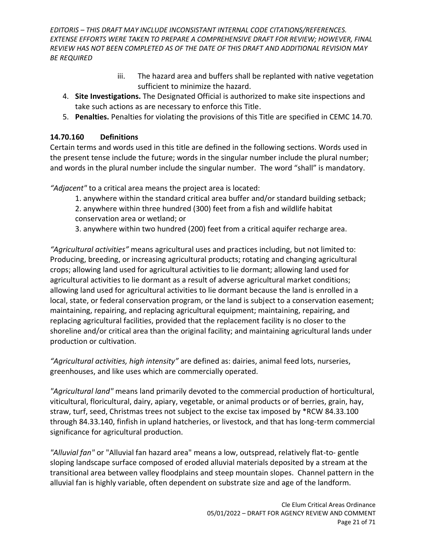- iii. The hazard area and buffers shall be replanted with native vegetation sufficient to minimize the hazard.
- 4. **Site Investigations.** The Designated Official is authorized to make site inspections and take such actions as are necessary to enforce this Title.
- 5. **Penalties.** Penalties for violating the provisions of this Title are specified in CEMC 14.70.

### <span id="page-20-0"></span>**14.70.160 Definitions**

Certain terms and words used in this title are defined in the following sections. Words used in the present tense include the future; words in the singular number include the plural number; and words in the plural number include the singular number. The word "shall" is mandatory.

*"Adjacent"* to a critical area means the project area is located:

1. anywhere within the standard critical area buffer and/or standard building setback; 2. anywhere within three hundred (300) feet from a fish and wildlife habitat conservation area or wetland; or

3. anywhere within two hundred (200) feet from a critical aquifer recharge area.

*"Agricultural activities"* means agricultural uses and practices including, but not limited to: Producing, breeding, or increasing agricultural products; rotating and changing agricultural crops; allowing land used for agricultural activities to lie dormant; allowing land used for agricultural activities to lie dormant as a result of adverse agricultural market conditions; allowing land used for agricultural activities to lie dormant because the land is enrolled in a local, state, or federal conservation program, or the land is subject to a conservation easement; maintaining, repairing, and replacing agricultural equipment; maintaining, repairing, and replacing agricultural facilities, provided that the replacement facility is no closer to the shoreline and/or critical area than the original facility; and maintaining agricultural lands under production or cultivation.

*"Agricultural activities, high intensity"* are defined as: dairies, animal feed lots, nurseries, greenhouses, and like uses which are commercially operated.

*"Agricultural land"* means land primarily devoted to the commercial production of horticultural, viticultural, floricultural, dairy, apiary, vegetable, or animal products or of berries, grain, hay, straw, turf, seed, Christmas trees not subject to the excise tax imposed by \*RCW [84.33.100](http://apps.leg.wa.gov/rcw/default.aspx?cite=84.33.100) through [84.33.140,](http://apps.leg.wa.gov/rcw/default.aspx?cite=84.33.140) finfish in upland hatcheries, or livestock, and that has long-term commercial significance for agricultural production.

*"Alluvial fan"* or "Alluvial fan hazard area" means a low, outspread, relatively flat-to- gentle sloping landscape surface composed of eroded alluvial materials deposited by a stream at the transitional area between valley floodplains and steep mountain slopes. Channel pattern in the alluvial fan is highly variable, often dependent on substrate size and age of the landform.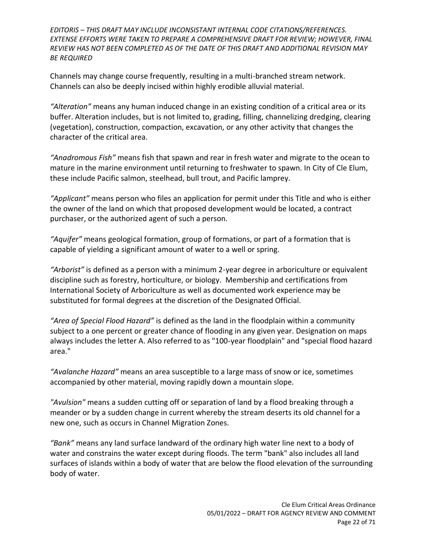Channels may change course frequently, resulting in a multi-branched stream network. Channels can also be deeply incised within highly erodible alluvial material.

*"Alteration"* means any human induced change in an existing condition of a critical area or its buffer. Alteration includes, but is not limited to, grading, filling, channelizing dredging, clearing (vegetation), construction, compaction, excavation, or any other activity that changes the character of the critical area.

*"Anadromous Fish"* means fish that spawn and rear in fresh water and migrate to the ocean to mature in the marine environment until returning to freshwater to spawn. In City of Cle Elum, these include Pacific salmon, steelhead, bull trout, and Pacific lamprey.

*"Applicant"* means person who files an application for permit under this Title and who is either the owner of the land on which that proposed development would be located, a contract purchaser, or the authorized agent of such a person.

*"Aquifer"* means geological formation, group of formations, or part of a formation that is capable of yielding a significant amount of water to a well or spring.

*"Arborist"* is defined as a person with a minimum 2-year degree in arboriculture or equivalent discipline such as forestry, horticulture, or biology. Membership and certifications from International Society of Arboriculture as well as documented work experience may be substituted for formal degrees at the discretion of the Designated Official.

*"Area of Special Flood Hazard"* is defined as the land in the floodplain within a community subject to a one percent or greater chance of flooding in any given year. Designation on maps always includes the letter A. Also referred to as "100-year floodplain" and "special flood hazard area."

*"Avalanche Hazard"* means an area susceptible to a large mass of snow or ice, sometimes accompanied by other material, moving rapidly down a mountain slope.

*"Avulsion"* means a sudden cutting off or separation of land by a flood breaking through a meander or by a sudden change in current whereby the stream deserts its old channel for a new one, such as occurs in Channel Migration Zones.

*"Bank"* means any land surface landward of the ordinary high water line next to a body of water and constrains the water except during floods. The term "bank" also includes all land surfaces of islands within a body of water that are below the flood elevation of the surrounding body of water.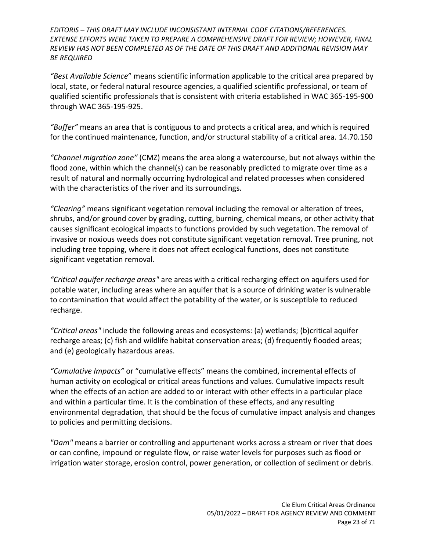*"Best Available Science*" means scientific information applicable to the critical area prepared by local, state, or federal natural resource agencies, a qualified scientific professional, or team of qualified scientific professionals that is consistent with criteria established in WAC 365-195-900 through WAC 365-195-925.

*"Buffer"* means an area that is contiguous to and protects a critical area, and which is required for the continued maintenance, function, and/or structural stability of a critical area. 14.70.150

*"Channel migration zone"* (CMZ) means the area along a watercourse, but not always within the flood zone, within which the channel(s) can be reasonably predicted to migrate over time as a result of natural and normally occurring hydrological and related processes when considered with the characteristics of the river and its surroundings.

*"Clearing"* means significant vegetation removal including the removal or alteration of trees, shrubs, and/or ground cover by grading, cutting, burning, chemical means, or other activity that causes significant ecological impacts to functions provided by such vegetation. The removal of invasive or noxious weeds does not constitute significant vegetation removal. Tree pruning, not including tree topping, where it does not affect ecological functions, does not constitute significant vegetation removal.

*"Critical aquifer recharge areas"* are areas with a critical recharging effect on aquifers used for potable water, including areas where an aquifer that is a source of drinking water is vulnerable to contamination that would affect the potability of the water, or is susceptible to reduced recharge.

*"Critical areas"* include the following areas and ecosystems: (a) wetlands; (b)critical aquifer recharge areas; (c) fish and wildlife habitat conservation areas; (d) frequently flooded areas; and (e) geologically hazardous areas.

*"Cumulative Impacts"* or "cumulative effects" means the combined, incremental effects of human activity on ecological or critical areas functions and values. Cumulative impacts result when the effects of an action are added to or interact with other effects in a particular place and within a particular time. It is the combination of these effects, and any resulting environmental degradation, that should be the focus of cumulative impact analysis and changes to policies and permitting decisions.

*"Dam"* means a barrier or controlling and appurtenant works across a stream or river that does or can confine, impound or regulate flow, or raise water levels for purposes such as flood or irrigation water storage, erosion control, power generation, or collection of sediment or debris.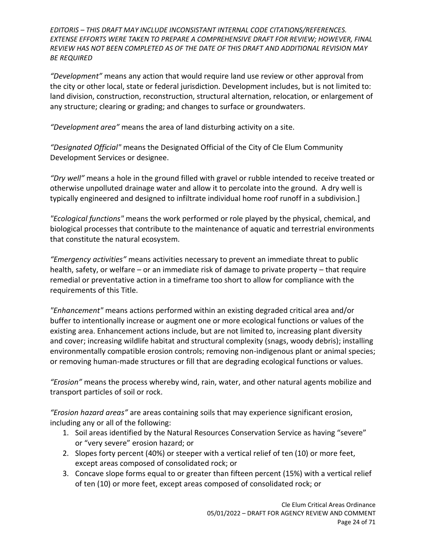*"Development"* means any action that would require land use review or other approval from the city or other local, state or federal jurisdiction. Development includes, but is not limited to: land division, construction, reconstruction, structural alternation, relocation, or enlargement of any structure; clearing or grading; and changes to surface or groundwaters.

*"Development area"* means the area of land disturbing activity on a site.

*"Designated Official"* means the Designated Official of the City of Cle Elum Community Development Services or designee.

*"Dry well"* means a hole in the ground filled with gravel or rubble intended to receive treated or otherwise unpolluted drainage water and allow it to percolate into the ground. A dry well is typically engineered and designed to infiltrate individual home roof runoff in a subdivision.]

*"Ecological functions"* means the work performed or role played by the physical, chemical, and biological processes that contribute to the maintenance of aquatic and terrestrial environments that constitute the natural ecosystem.

*"Emergency activities"* means activities necessary to prevent an immediate threat to public health, safety, or welfare – or an immediate risk of damage to private property – that require remedial or preventative action in a timeframe too short to allow for compliance with the requirements of this Title.

*"Enhancement"* means actions performed within an existing degraded critical area and/or buffer to intentionally increase or augment one or more ecological functions or values of the existing area. Enhancement actions include, but are not limited to, increasing plant diversity and cover; increasing wildlife habitat and structural complexity (snags, woody debris); installing environmentally compatible erosion controls; removing non-indigenous plant or animal species; or removing human-made structures or fill that are degrading ecological functions or values.

*"Erosion"* means the process whereby wind, rain, water, and other natural agents mobilize and transport particles of soil or rock.

*"Erosion hazard areas"* are areas containing soils that may experience significant erosion, including any or all of the following:

- 1. Soil areas identified by the Natural Resources Conservation Service as having "severe" or "very severe" erosion hazard; or
- 2. Slopes forty percent (40%) or steeper with a vertical relief of ten (10) or more feet, except areas composed of consolidated rock; or
- 3. Concave slope forms equal to or greater than fifteen percent (15%) with a vertical relief of ten (10) or more feet, except areas composed of consolidated rock; or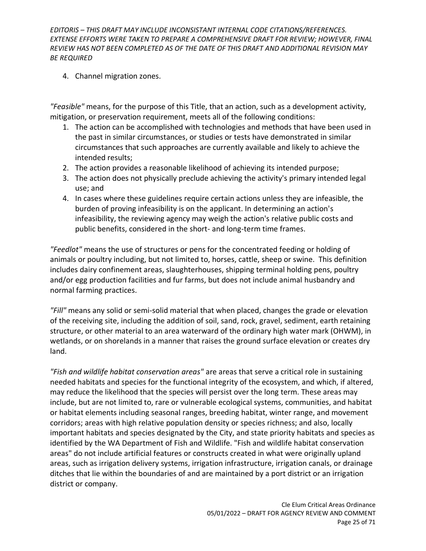4. Channel migration zones.

*"Feasible"* means, for the purpose of this Title, that an action, such as a development activity, mitigation, or preservation requirement, meets all of the following conditions:

- 1. The action can be accomplished with technologies and methods that have been used in the past in similar circumstances, or studies or tests have demonstrated in similar circumstances that such approaches are currently available and likely to achieve the intended results;
- 2. The action provides a reasonable likelihood of achieving its intended purpose;
- 3. The action does not physically preclude achieving the activity's primary intended legal use; and
- 4. In cases where these guidelines require certain actions unless they are infeasible, the burden of proving infeasibility is on the applicant. In determining an action's infeasibility, the reviewing agency may weigh the action's relative public costs and public benefits, considered in the short- and long-term time frames.

*"Feedlot"* means the use of structures or pens for the concentrated feeding or holding of animals or poultry including, but not limited to, horses, cattle, sheep or swine. This definition includes dairy confinement areas, slaughterhouses, shipping terminal holding pens, poultry and/or egg production facilities and fur farms, but does not include animal husbandry and normal farming practices.

*"Fill"* means any solid or semi-solid material that when placed, changes the grade or elevation of the receiving site, including the addition of soil, sand, rock, gravel, sediment, earth retaining structure, or other material to an area waterward of the ordinary high water mark (OHWM), in wetlands, or on shorelands in a manner that raises the ground surface elevation or creates dry land.

*"Fish and wildlife habitat conservation areas"* are areas that serve a critical role in sustaining needed habitats and species for the functional integrity of the ecosystem, and which, if altered, may reduce the likelihood that the species will persist over the long term. These areas may include, but are not limited to, rare or vulnerable ecological systems, communities, and habitat or habitat elements including seasonal ranges, breeding habitat, winter range, and movement corridors; areas with high relative population density or species richness; and also, locally important habitats and species designated by the City, and state priority habitats and species as identified by the WA Department of Fish and Wildlife. "Fish and wildlife habitat conservation areas" do not include artificial features or constructs created in what were originally upland areas, such as irrigation delivery systems, irrigation infrastructure, irrigation canals, or drainage ditches that lie within the boundaries of and are maintained by a port district or an irrigation district or company.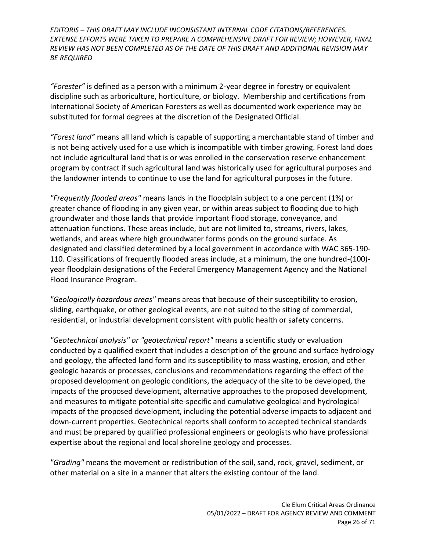*"Forester"* is defined as a person with a minimum 2-year degree in forestry or equivalent discipline such as arboriculture, horticulture, or biology. Membership and certifications from International Society of American Foresters as well as documented work experience may be substituted for formal degrees at the discretion of the Designated Official.

*"Forest land"* means all land which is capable of supporting a merchantable stand of timber and is not being actively used for a use which is incompatible with timber growing. Forest land does not include agricultural land that is or was enrolled in the conservation reserve enhancement program by contract if such agricultural land was historically used for agricultural purposes and the landowner intends to continue to use the land for agricultural purposes in the future.

*"Frequently flooded areas"* means lands in the floodplain subject to a one percent (1%) or greater chance of flooding in any given year, or within areas subject to flooding due to high groundwater and those lands that provide important flood storage, conveyance, and attenuation functions. These areas include, but are not limited to, streams, rivers, lakes, wetlands, and areas where high groundwater forms ponds on the ground surface. As designated and classified determined by a local government in accordance with [WAC 365-190-](http://app.leg.wa.gov/wac/default.aspx?cite=365-190-110) [110.](http://app.leg.wa.gov/wac/default.aspx?cite=365-190-110) Classifications of frequently flooded areas include, at a minimum, the one hundred-(100) year floodplain designations of the Federal Emergency Management Agency and the National Flood Insurance Program.

*"Geologically hazardous areas"* means areas that because of their susceptibility to erosion, sliding, earthquake, or other geological events, are not suited to the siting of commercial, residential, or industrial development consistent with public health or safety concerns.

*"Geotechnical analysis" or "geotechnical report"* means a scientific study or evaluation conducted by a qualified expert that includes a description of the ground and surface hydrology and geology, the affected land form and its susceptibility to mass wasting, erosion, and other geologic hazards or processes, conclusions and recommendations regarding the effect of the proposed development on geologic conditions, the adequacy of the site to be developed, the impacts of the proposed development, alternative approaches to the proposed development, and measures to mitigate potential site-specific and cumulative geological and hydrological impacts of the proposed development, including the potential adverse impacts to adjacent and down-current properties. Geotechnical reports shall conform to accepted technical standards and must be prepared by qualified professional engineers or geologists who have professional expertise about the regional and local shoreline geology and processes.

*"Grading"* means the movement or redistribution of the soil, sand, rock, gravel, sediment, or other material on a site in a manner that alters the existing contour of the land.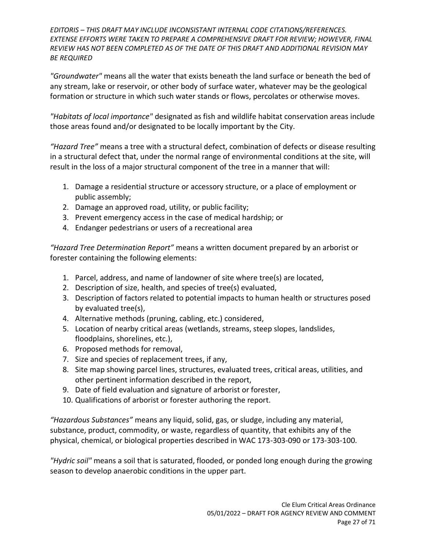*"Groundwater"* means all the water that exists beneath the land surface or beneath the bed of any stream, lake or reservoir, or other body of surface water, whatever may be the geological formation or structure in which such water stands or flows, percolates or otherwise moves.

*"Habitats of local importance"* designated as fish and wildlife habitat conservation areas include those areas found and/or designated to be locally important by the City.

*"Hazard Tree"* means a tree with a structural defect, combination of defects or disease resulting in a structural defect that, under the normal range of environmental conditions at the site, will result in the loss of a major structural component of the tree in a manner that will:

- 1. Damage a residential structure or accessory structure, or a place of employment or public assembly;
- 2. Damage an approved road, utility, or public facility;
- 3. Prevent emergency access in the case of medical hardship; or
- 4. Endanger pedestrians or users of a recreational area

*"Hazard Tree Determination Report"* means a written document prepared by an arborist or forester containing the following elements:

- 1. Parcel, address, and name of landowner of site where tree(s) are located,
- 2. Description of size, health, and species of tree(s) evaluated,
- 3. Description of factors related to potential impacts to human health or structures posed by evaluated tree(s),
- 4. Alternative methods (pruning, cabling, etc.) considered,
- 5. Location of nearby critical areas (wetlands, streams, steep slopes, landslides, floodplains, shorelines, etc.),
- 6. Proposed methods for removal,
- 7. Size and species of replacement trees, if any,
- 8. Site map showing parcel lines, structures, evaluated trees, critical areas, utilities, and other pertinent information described in the report,
- 9. Date of field evaluation and signature of arborist or forester,
- 10. Qualifications of arborist or forester authoring the report.

*"Hazardous Substances"* means any liquid, solid, gas, or sludge, including any material, substance, product, commodity, or waste, regardless of quantity, that exhibits any of the physical, chemical, or biological properties described in WAC 173-303-090 or 173-303-100.

*"Hydric soil"* means a soil that is saturated, flooded, or ponded long enough during the growing season to develop anaerobic conditions in the upper part.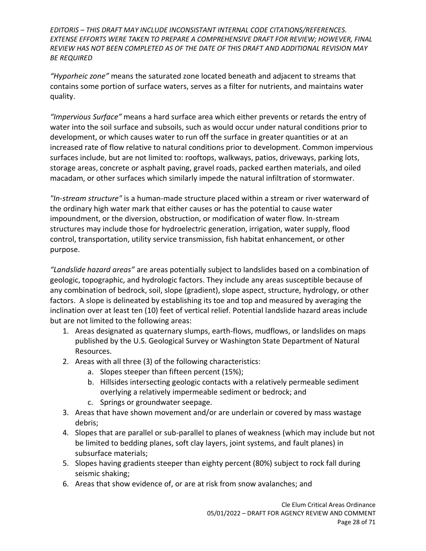*"Hyporheic zone"* means the saturated zone located beneath and adjacent to streams that contains some portion of surface waters, serves as a filter for nutrients, and maintains water quality.

*"Impervious Surface"* means a hard surface area which either prevents or retards the entry of water into the soil surface and subsoils, such as would occur under natural conditions prior to development, or which causes water to run off the surface in greater quantities or at an increased rate of flow relative to natural conditions prior to development. Common impervious surfaces include, but are not limited to: rooftops, walkways, patios, driveways, parking lots, storage areas, concrete or asphalt paving, gravel roads, packed earthen materials, and oiled macadam, or other surfaces which similarly impede the natural infiltration of stormwater.

*"In-stream structure"* is a human-made structure placed within a stream or river waterward of the ordinary high water mark that either causes or has the potential to cause water impoundment, or the diversion, obstruction, or modification of water flow. In-stream structures may include those for hydroelectric generation, irrigation, water supply, flood control, transportation, utility service transmission, fish habitat enhancement, or other purpose.

*"Landslide hazard areas"* are areas potentially subject to landslides based on a combination of geologic, topographic, and hydrologic factors. They include any areas susceptible because of any combination of bedrock, soil, slope (gradient), slope aspect, structure, hydrology, or other factors. A slope is delineated by establishing its toe and top and measured by averaging the inclination over at least ten (10) feet of vertical relief. Potential landslide hazard areas include but are not limited to the following areas:

- 1. Areas designated as quaternary slumps, earth-flows, mudflows, or landslides on maps published by the U.S. Geological Survey or Washington State Department of Natural Resources.
- 2. Areas with all three (3) of the following characteristics:
	- a. Slopes steeper than fifteen percent (15%);
	- b. Hillsides intersecting geologic contacts with a relatively permeable sediment overlying a relatively impermeable sediment or bedrock; and
	- c. Springs or groundwater seepage.
- 3. Areas that have shown movement and/or are underlain or covered by mass wastage debris;
- 4. Slopes that are parallel or sub-parallel to planes of weakness (which may include but not be limited to bedding planes, soft clay layers, joint systems, and fault planes) in subsurface materials;
- 5. Slopes having gradients steeper than eighty percent (80%) subject to rock fall during seismic shaking;
- 6. Areas that show evidence of, or are at risk from snow avalanches; and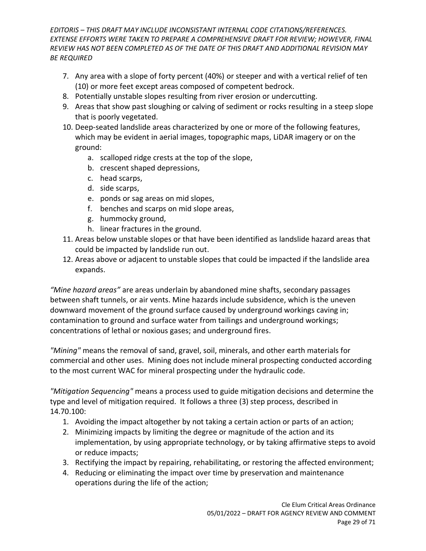- 7. Any area with a slope of forty percent (40%) or steeper and with a vertical relief of ten (10) or more feet except areas composed of competent bedrock.
- 8. Potentially unstable slopes resulting from river erosion or undercutting.
- 9. Areas that show past sloughing or calving of sediment or rocks resulting in a steep slope that is poorly vegetated.
- 10. Deep-seated landslide areas characterized by one or more of the following features, which may be evident in aerial images, topographic maps, LiDAR imagery or on the ground:
	- a. scalloped ridge crests at the top of the slope,
	- b. crescent shaped depressions,
	- c. head scarps,
	- d. side scarps,
	- e. ponds or sag areas on mid slopes,
	- f. benches and scarps on mid slope areas,
	- g. hummocky ground,
	- h. linear fractures in the ground.
- 11. Areas below unstable slopes or that have been identified as landslide hazard areas that could be impacted by landslide run out.
- 12. Areas above or adjacent to unstable slopes that could be impacted if the landslide area expands.

*"Mine hazard areas"* are areas underlain by abandoned mine shafts, secondary passages between shaft tunnels, or air vents. Mine hazards include subsidence, which is the uneven downward movement of the ground surface caused by underground workings caving in; contamination to ground and surface water from tailings and underground workings; concentrations of lethal or noxious gases; and underground fires.

*"Mining"* means the removal of sand, gravel, soil, minerals, and other earth materials for commercial and other uses. Mining does not include mineral prospecting conducted according to the most current WAC for mineral prospecting under the hydraulic code.

*"Mitigation Sequencing"* means a process used to guide mitigation decisions and determine the type and level of mitigation required. It follows a three (3) step process, described in 14.70.100:

- 1. Avoiding the impact altogether by not taking a certain action or parts of an action;
- 2. Minimizing impacts by limiting the degree or magnitude of the action and its implementation, by using appropriate technology, or by taking affirmative steps to avoid or reduce impacts;
- 3. Rectifying the impact by repairing, rehabilitating, or restoring the affected environment;
- 4. Reducing or eliminating the impact over time by preservation and maintenance operations during the life of the action;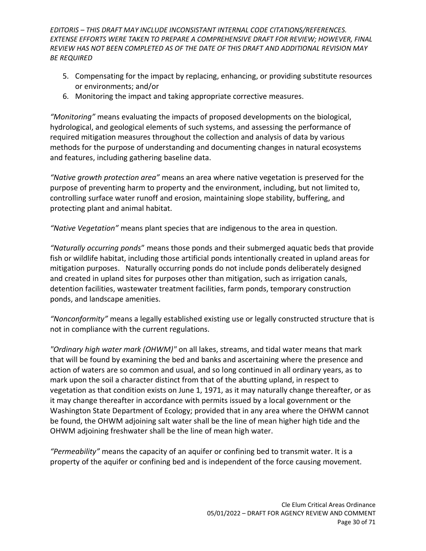- 5. Compensating for the impact by replacing, enhancing, or providing substitute resources or environments; and/or
- 6. Monitoring the impact and taking appropriate corrective measures.

*"Monitoring"* means evaluating the impacts of proposed developments on the biological, hydrological, and geological elements of such systems, and assessing the performance of required mitigation measures throughout the collection and analysis of data by various methods for the purpose of understanding and documenting changes in natural ecosystems and features, including gathering baseline data.

*"Native growth protection area"* means an area where native vegetation is preserved for the purpose of preventing harm to property and the environment, including, but not limited to, controlling surface water runoff and erosion, maintaining slope stability, buffering, and protecting plant and animal habitat.

*"Native Vegetation"* means plant species that are indigenous to the area in question.

*"Naturally occurring ponds*" means those ponds and their submerged aquatic beds that provide fish or wildlife habitat, including those artificial ponds intentionally created in upland areas for mitigation purposes. Naturally occurring ponds do not include ponds deliberately designed and created in upland sites for purposes other than mitigation, such as irrigation canals, detention facilities, wastewater treatment facilities, farm ponds, temporary construction ponds, and landscape amenities.

*"Nonconformity"* means a legally established existing use or legally constructed structure that is not in compliance with the current regulations.

*"Ordinary high water mark (OHWM)"* on all lakes, streams, and tidal water means that mark that will be found by examining the bed and banks and ascertaining where the presence and action of waters are so common and usual, and so long continued in all ordinary years, as to mark upon the soil a character distinct from that of the abutting upland, in respect to vegetation as that condition exists on June 1, 1971, as it may naturally change thereafter, or as it may change thereafter in accordance with permits issued by a local government or the Washington State Department of Ecology; provided that in any area where the OHWM cannot be found, the OHWM adjoining salt water shall be the line of mean higher high tide and the OHWM adjoining freshwater shall be the line of mean high water.

*"Permeability"* means the capacity of an aquifer or confining bed to transmit water. It is a property of the aquifer or confining bed and is independent of the force causing movement.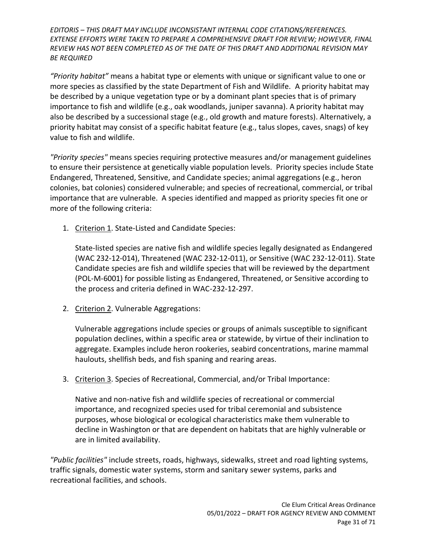*"Priority habitat"* means a habitat type or elements with unique or significant value to one or more species as classified by the state Department of Fish and Wildlife. A priority habitat may be described by a unique vegetation type or by a dominant plant species that is of primary importance to fish and wildlife (e.g., oak woodlands, juniper savanna). A priority habitat may also be described by a successional stage (e.g., old growth and mature forests). Alternatively, a priority habitat may consist of a specific habitat feature (e.g., talus slopes, caves, snags) of key value to fish and wildlife.

*"Priority species"* means species requiring protective measures and/or management guidelines to ensure their persistence at genetically viable population levels. Priority species include State Endangered, Threatened, Sensitive, and Candidate species; animal aggregations (e.g., heron colonies, bat colonies) considered vulnerable; and species of recreational, commercial, or tribal importance that are vulnerable. A species identified and mapped as priority species fit one or more of the following criteria:

1. Criterion 1. State-Listed and Candidate Species:

State-listed species are native fish and wildlife species legally designated as Endangered (WAC 232-12-014), Threatened (WAC 232-12-011), or Sensitive (WAC 232-12-011). State Candidate species are fish and wildlife species that will be reviewed by the department (POL-M-6001) for possible listing as Endangered, Threatened, or Sensitive according to the process and criteria defined in WAC-232-12-297.

2. Criterion 2. Vulnerable Aggregations:

Vulnerable aggregations include species or groups of animals susceptible to significant population declines, within a specific area or statewide, by virtue of their inclination to aggregate. Examples include heron rookeries, seabird concentrations, marine mammal haulouts, shellfish beds, and fish spaning and rearing areas.

3. Criterion 3. Species of Recreational, Commercial, and/or Tribal Importance:

Native and non-native fish and wildlife species of recreational or commercial importance, and recognized species used for tribal ceremonial and subsistence purposes, whose biological or ecological characteristics make them vulnerable to decline in Washington or that are dependent on habitats that are highly vulnerable or are in limited availability.

*"Public facilities"* include streets, roads, highways, sidewalks, street and road lighting systems, traffic signals, domestic water systems, storm and sanitary sewer systems, parks and recreational facilities, and schools.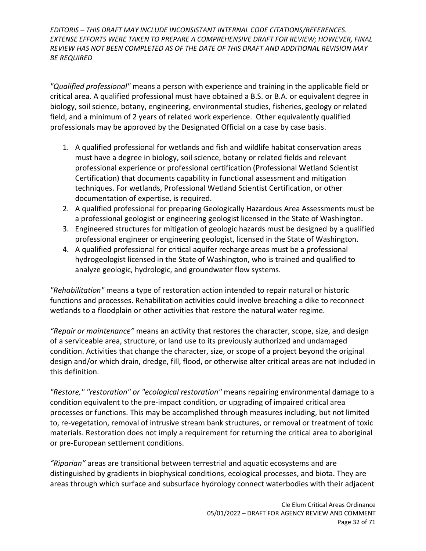*"Qualified professional"* means a person with experience and training in the applicable field or critical area. A qualified professional must have obtained a B.S. or B.A. or equivalent degree in biology, soil science, botany, engineering, environmental studies, fisheries, geology or related field, and a minimum of 2 years of related work experience. Other equivalently qualified professionals may be approved by the Designated Official on a case by case basis.

- 1. A qualified professional for wetlands and fish and wildlife habitat conservation areas must have a degree in biology, soil science, botany or related fields and relevant professional experience or professional certification (Professional Wetland Scientist Certification) that documents capability in functional assessment and mitigation techniques. For wetlands, Professional Wetland Scientist Certification, or other documentation of expertise, is required.
- 2. A qualified professional for preparing Geologically Hazardous Area Assessments must be a professional geologist or engineering geologist licensed in the State of Washington.
- 3. Engineered structures for mitigation of geologic hazards must be designed by a qualified professional engineer or engineering geologist, licensed in the State of Washington.
- 4. A qualified professional for critical aquifer recharge areas must be a professional hydrogeologist licensed in the State of Washington, who is trained and qualified to analyze geologic, hydrologic, and groundwater flow systems.

*"Rehabilitation"* means a type of restoration action intended to repair natural or historic functions and processes. Rehabilitation activities could involve breaching a dike to reconnect wetlands to a floodplain or other activities that restore the natural water regime.

*"Repair or maintenance"* means an activity that restores the character, scope, size, and design of a serviceable area, structure, or land use to its previously authorized and undamaged condition. Activities that change the character, size, or scope of a project beyond the original design and/or which drain, dredge, fill, flood, or otherwise alter critical areas are not included in this definition.

*"Restore," "restoration" or "ecological restoration"* means repairing environmental damage to a condition equivalent to the pre-impact condition, or upgrading of impaired critical area processes or functions. This may be accomplished through measures including, but not limited to, re-vegetation, removal of intrusive stream bank structures, or removal or treatment of toxic materials. Restoration does not imply a requirement for returning the critical area to aboriginal or pre-European settlement conditions.

*"Riparian"* areas are transitional between terrestrial and aquatic ecosystems and are distinguished by gradients in biophysical conditions, ecological processes, and biota. They are areas through which surface and subsurface hydrology connect waterbodies with their adjacent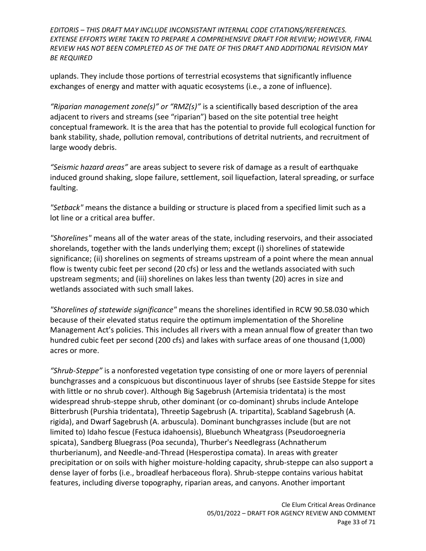uplands. They include those portions of terrestrial ecosystems that significantly influence exchanges of energy and matter with aquatic ecosystems (i.e., a zone of influence).

*"Riparian management zone(s)" or "RMZ(s)"* is a scientifically based description of the area adjacent to rivers and streams (see "riparian") based on the site potential tree height conceptual framework. It is the area that has the potential to provide full ecological function for bank stability, shade, pollution removal, contributions of detrital nutrients, and recruitment of large woody debris.

*"Seismic hazard areas"* are areas subject to severe risk of damage as a result of earthquake induced ground shaking, slope failure, settlement, soil liquefaction, lateral spreading, or surface faulting.

*"Setback"* means the distance a building or structure is placed from a specified limit such as a lot line or a critical area buffer.

*"Shorelines"* means all of the water areas of the state, including reservoirs, and their associated shorelands, together with the lands underlying them; except (i) shorelines of statewide significance; (ii) shorelines on segments of streams upstream of a point where the mean annual flow is twenty cubic feet per second (20 cfs) or less and the wetlands associated with such upstream segments; and (iii) shorelines on lakes less than twenty (20) acres in size and wetlands associated with such small lakes.

*"Shorelines of statewide significance"* means the shorelines identified in RCW 90.58.030 which because of their elevated status require the optimum implementation of the Shoreline Management Act's policies. This includes all rivers with a mean annual flow of greater than two hundred cubic feet per second (200 cfs) and lakes with surface areas of one thousand (1,000) acres or more.

*"Shrub-Steppe"* is a nonforested vegetation type consisting of one or more layers of perennial bunchgrasses and a conspicuous but discontinuous layer of shrubs (see Eastside Steppe for sites with little or no shrub cover). Although Big Sagebrush (Artemisia tridentata) is the most widespread shrub-steppe shrub, other dominant (or co-dominant) shrubs include Antelope Bitterbrush (Purshia tridentata), Threetip Sagebrush (A. tripartita), Scabland Sagebrush (A. rigida), and Dwarf Sagebrush (A. arbuscula). Dominant bunchgrasses include (but are not limited to) Idaho fescue (Festuca idahoensis), Bluebunch Wheatgrass (Pseudoroegneria spicata), Sandberg Bluegrass (Poa secunda), Thurber's Needlegrass (Achnatherum thurberianum), and Needle-and-Thread (Hesperostipa comata). In areas with greater precipitation or on soils with higher moisture-holding capacity, shrub-steppe can also support a dense layer of forbs (i.e., broadleaf herbaceous flora). Shrub-steppe contains various habitat features, including diverse topography, riparian areas, and canyons. Another important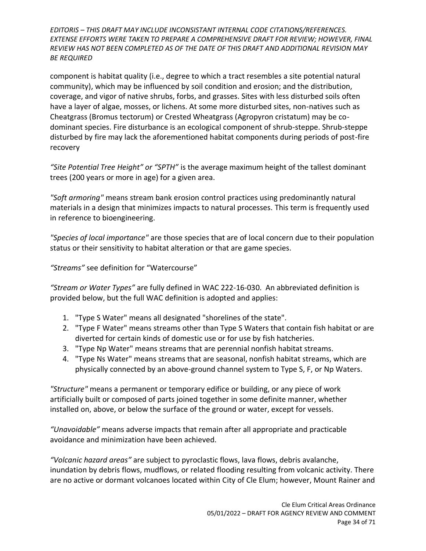component is habitat quality (i.e., degree to which a tract resembles a site potential natural community), which may be influenced by soil condition and erosion; and the distribution, coverage, and vigor of native shrubs, forbs, and grasses. Sites with less disturbed soils often have a layer of algae, mosses, or lichens. At some more disturbed sites, non-natives such as Cheatgrass (Bromus tectorum) or Crested Wheatgrass (Agropyron cristatum) may be codominant species. Fire disturbance is an ecological component of shrub-steppe. Shrub-steppe disturbed by fire may lack the aforementioned habitat components during periods of post-fire recovery

*"Site Potential Tree Height" or "SPTH"* is the average maximum height of the tallest dominant trees (200 years or more in age) for a given area.

*"Soft armoring"* means stream bank erosion control practices using predominantly natural materials in a design that minimizes impacts to natural processes. This term is frequently used in reference to bioengineering.

*"Species of local importance"* are those species that are of local concern due to their population status or their sensitivity to habitat alteration or that are game species.

*"Streams"* see definition for "Watercourse"

*"Stream or Water Types"* are fully defined in WAC 222-16-030. An abbreviated definition is provided below, but the full WAC definition is adopted and applies:

- 1. "Type S Water" means all designated "shorelines of the state".
- 2. "Type F Water" means streams other than Type S Waters that contain fish habitat or are diverted for certain kinds of domestic use or for use by fish hatcheries.
- 3. "Type Np Water" means streams that are perennial nonfish habitat streams.
- 4. "Type Ns Water" means streams that are seasonal, nonfish habitat streams, which are physically connected by an above-ground channel system to Type S, F, or Np Waters.

*"Structure"* means a permanent or temporary edifice or building, or any piece of work artificially built or composed of parts joined together in some definite manner, whether installed on, above, or below the surface of the ground or water, except for vessels.

*"Unavoidable"* means adverse impacts that remain after all appropriate and practicable avoidance and minimization have been achieved.

*"Volcanic hazard areas"* are subject to pyroclastic flows, lava flows, debris avalanche, inundation by debris flows, mudflows, or related flooding resulting from volcanic activity. There are no active or dormant volcanoes located within City of Cle Elum; however, Mount Rainer and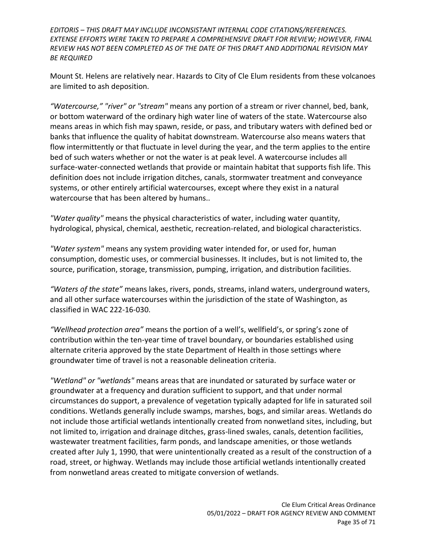Mount St. Helens are relatively near. Hazards to City of Cle Elum residents from these volcanoes are limited to ash deposition.

*"Watercourse," "river" or "stream"* means any portion of a stream or river channel, bed, bank, or bottom waterward of the ordinary high water line of waters of the state. Watercourse also means areas in which fish may spawn, reside, or pass, and tributary waters with defined bed or banks that influence the quality of habitat downstream. Watercourse also means waters that flow intermittently or that fluctuate in level during the year, and the term applies to the entire bed of such waters whether or not the water is at peak level. A watercourse includes all surface-water-connected wetlands that provide or maintain habitat that supports fish life. This definition does not include irrigation ditches, canals, stormwater treatment and conveyance systems, or other entirely artificial watercourses, except where they exist in a natural watercourse that has been altered by humans..

*"Water quality"* means the physical characteristics of water, including water quantity, hydrological, physical, chemical, aesthetic, recreation-related, and biological characteristics.

*"Water system"* means any system providing water intended for, or used for, human consumption, domestic uses, or commercial businesses. It includes, but is not limited to, the source, purification, storage, transmission, pumping, irrigation, and distribution facilities.

*"Waters of the state"* means lakes, rivers, ponds, streams, inland waters, underground waters, and all other surface watercourses within the jurisdiction of the state of Washington, as classified in WAC 222-16-030.

*"Wellhead protection area"* means the portion of a well's, wellfield's, or spring's zone of contribution within the ten-year time of travel boundary, or boundaries established using alternate criteria approved by the state Department of Health in those settings where groundwater time of travel is not a reasonable delineation criteria.

*"Wetland" or "wetlands"* means areas that are inundated or saturated by surface water or groundwater at a frequency and duration sufficient to support, and that under normal circumstances do support, a prevalence of vegetation typically adapted for life in saturated soil conditions. Wetlands generally include swamps, marshes, bogs, and similar areas. Wetlands do not include those artificial wetlands intentionally created from nonwetland sites, including, but not limited to, irrigation and drainage ditches, grass-lined swales, canals, detention facilities, wastewater treatment facilities, farm ponds, and landscape amenities, or those wetlands created after July 1, 1990, that were unintentionally created as a result of the construction of a road, street, or highway. Wetlands may include those artificial wetlands intentionally created from nonwetland areas created to mitigate conversion of wetlands.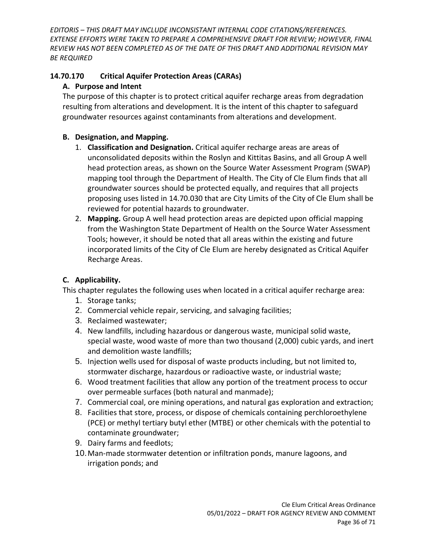# <span id="page-35-0"></span>**14.70.170 Critical Aquifer Protection Areas (CARAs)**

# **A. Purpose and Intent**

The purpose of this chapter is to protect critical aquifer recharge areas from degradation resulting from alterations and development. It is the intent of this chapter to safeguard groundwater resources against contaminants from alterations and development.

### **B. Designation, and Mapping.**

- 1. **Classification and Designation.** Critical aquifer recharge areas are areas of unconsolidated deposits within the Roslyn and Kittitas Basins, and all Group A well head protection areas, as shown on the Source Water Assessment Program (SWAP) mapping tool through the Department of Health. The City of Cle Elum finds that all groundwater sources should be protected equally, and requires that all projects proposing uses listed in 14.70.030 that are City Limits of the City of Cle Elum shall be reviewed for potential hazards to groundwater.
- 2. **Mapping.** Group A well head protection areas are depicted upon official mapping from the Washington State Department of Health on the Source Water Assessment Tools; however, it should be noted that all areas within the existing and future incorporated limits of the City of Cle Elum are hereby designated as Critical Aquifer Recharge Areas.

# **C. Applicability.**

This chapter regulates the following uses when located in a critical aquifer recharge area:

- 1. Storage tanks;
- 2. Commercial vehicle repair, servicing, and salvaging facilities;
- 3. Reclaimed wastewater;
- 4. New landfills, including hazardous or dangerous waste, municipal solid waste, special waste, wood waste of more than two thousand (2,000) cubic yards, and inert and demolition waste landfills;
- 5. Injection wells used for disposal of waste products including, but not limited to, stormwater discharge, hazardous or radioactive waste, or industrial waste;
- 6. Wood treatment facilities that allow any portion of the treatment process to occur over permeable surfaces (both natural and manmade);
- 7. Commercial coal, ore mining operations, and natural gas exploration and extraction;
- 8. Facilities that store, process, or dispose of chemicals containing perchloroethylene (PCE) or methyl tertiary butyl ether (MTBE) or other chemicals with the potential to contaminate groundwater;
- 9. Dairy farms and feedlots;
- 10.Man-made stormwater detention or infiltration ponds, manure lagoons, and irrigation ponds; and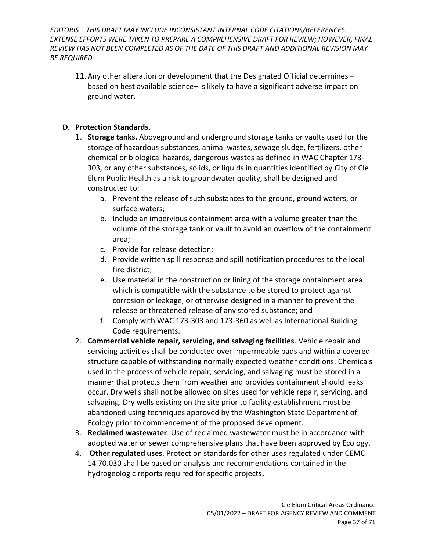11.Any other alteration or development that the Designated Official determines – based on best available science– is likely to have a significant adverse impact on ground water.

#### **D. Protection Standards.**

- 1. **Storage tanks.** Aboveground and underground storage tanks or vaults used for the storage of hazardous substances, animal wastes, sewage sludge, fertilizers, other chemical or biological hazards, dangerous wastes as defined in WAC Chapter 173- 303, or any other substances, solids, or liquids in quantities identified by City of Cle Elum Public Health as a risk to groundwater quality, shall be designed and constructed to:
	- a. Prevent the release of such substances to the ground, ground waters, or surface waters;
	- b. Include an impervious containment area with a volume greater than the volume of the storage tank or vault to avoid an overflow of the containment area;
	- c. Provide for release detection;
	- d. Provide written spill response and spill notification procedures to the local fire district;
	- e. Use material in the construction or lining of the storage containment area which is compatible with the substance to be stored to protect against corrosion or leakage, or otherwise designed in a manner to prevent the release or threatened release of any stored substance; and
	- f. Comply with WAC 173-303 and 173-360 as well as International Building Code requirements.
- 2. **Commercial vehicle repair, servicing, and salvaging facilities**. Vehicle repair and servicing activities shall be conducted over impermeable pads and within a covered structure capable of withstanding normally expected weather conditions. Chemicals used in the process of vehicle repair, servicing, and salvaging must be stored in a manner that protects them from weather and provides containment should leaks occur. Dry wells shall not be allowed on sites used for vehicle repair, servicing, and salvaging. Dry wells existing on the site prior to facility establishment must be abandoned using techniques approved by the Washington State Department of Ecology prior to commencement of the proposed development.
- 3. **Reclaimed wastewater**. Use of reclaimed wastewater must be in accordance with adopted water or sewer comprehensive plans that have been approved by Ecology.
- 4. **Other regulated uses**. Protection standards for other uses regulated under CEMC 14.70.030 shall be based on analysis and recommendations contained in the hydrogeologic reports required for specific projects**.**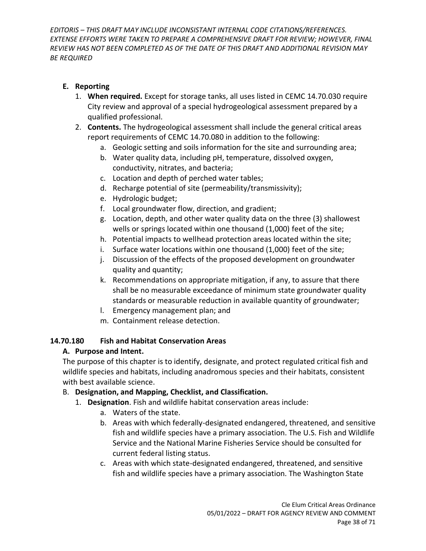#### **E. Reporting**

- 1. **When required.** Except for storage tanks, all uses listed in CEMC 14.70.030 require City review and approval of a special hydrogeological assessment prepared by a qualified professional.
- 2. **Contents.** The hydrogeological assessment shall include the general critical areas report requirements of CEMC 14.70.080 in addition to the following:
	- a. Geologic setting and soils information for the site and surrounding area;
	- b. Water quality data, including pH, temperature, dissolved oxygen, conductivity, nitrates, and bacteria;
	- c. Location and depth of perched water tables;
	- d. Recharge potential of site (permeability/transmissivity);
	- e. Hydrologic budget;
	- f. Local groundwater flow, direction, and gradient;
	- g. Location, depth, and other water quality data on the three (3) shallowest wells or springs located within one thousand (1,000) feet of the site;
	- h. Potential impacts to wellhead protection areas located within the site;
	- i. Surface water locations within one thousand (1,000) feet of the site;
	- j. Discussion of the effects of the proposed development on groundwater quality and quantity;
	- k. Recommendations on appropriate mitigation, if any, to assure that there shall be no measurable exceedance of minimum state groundwater quality standards or measurable reduction in available quantity of groundwater;
	- l. Emergency management plan; and
	- m. Containment release detection.

### <span id="page-37-0"></span>**14.70.180 Fish and Habitat Conservation Areas**

### **A. Purpose and Intent.**

The purpose of this chapter is to identify, designate, and protect regulated critical fish and wildlife species and habitats, including anadromous species and their habitats, consistent with best available science.

# B. **Designation, and Mapping, Checklist, and Classification.**

- 1. **Designation**. Fish and wildlife habitat conservation areas include:
	- a. Waters of the state.
	- b. Areas with which federally-designated endangered, threatened, and sensitive fish and wildlife species have a primary association. The U.S. Fish and Wildlife Service and the National Marine Fisheries Service should be consulted for current federal listing status.
	- c. Areas with which state-designated endangered, threatened, and sensitive fish and wildlife species have a primary association. The Washington State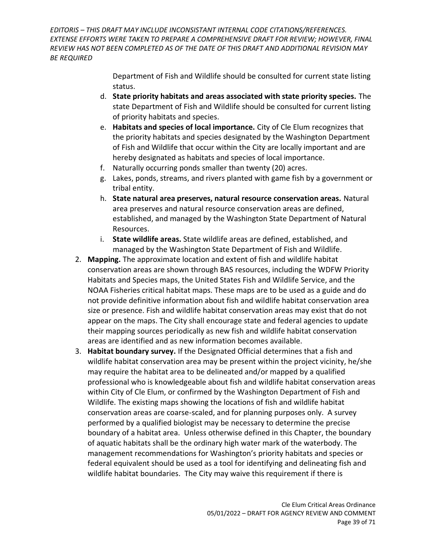> Department of Fish and Wildlife should be consulted for current state listing status.

- d. **State priority habitats and areas associated with state priority species.** The state Department of Fish and Wildlife should be consulted for current listing of priority habitats and species.
- e. **Habitats and species of local importance.** City of Cle Elum recognizes that the priority habitats and species designated by the Washington Department of Fish and Wildlife that occur within the City are locally important and are hereby designated as habitats and species of local importance.
- f. Naturally occurring ponds smaller than twenty (20) acres.
- g. Lakes, ponds, streams, and rivers planted with game fish by a government or tribal entity.
- h. **State natural area preserves, natural resource conservation areas.** Natural area preserves and natural resource conservation areas are defined, established, and managed by the Washington State Department of Natural Resources.
- i. **State wildlife areas.** State wildlife areas are defined, established, and managed by the Washington State Department of Fish and Wildlife.
- 2. **Mapping.** The approximate location and extent of fish and wildlife habitat conservation areas are shown through BAS resources, including the WDFW Priority Habitats and Species maps, the United States Fish and Wildlife Service, and the NOAA Fisheries critical habitat maps. These maps are to be used as a guide and do not provide definitive information about fish and wildlife habitat conservation area size or presence. Fish and wildlife habitat conservation areas may exist that do not appear on the maps. The City shall encourage state and federal agencies to update their mapping sources periodically as new fish and wildlife habitat conservation areas are identified and as new information becomes available.
- 3. **Habitat boundary survey.** If the Designated Official determines that a fish and wildlife habitat conservation area may be present within the project vicinity, he/she may require the habitat area to be delineated and/or mapped by a qualified professional who is knowledgeable about fish and wildlife habitat conservation areas within City of Cle Elum, or confirmed by the Washington Department of Fish and Wildlife. The existing maps showing the locations of fish and wildlife habitat conservation areas are coarse-scaled, and for planning purposes only. A survey performed by a qualified biologist may be necessary to determine the precise boundary of a habitat area. Unless otherwise defined in this Chapter, the boundary of aquatic habitats shall be the ordinary high water mark of the waterbody. The management recommendations for Washington's priority habitats and species or federal equivalent should be used as a tool for identifying and delineating fish and wildlife habitat boundaries. The City may waive this requirement if there is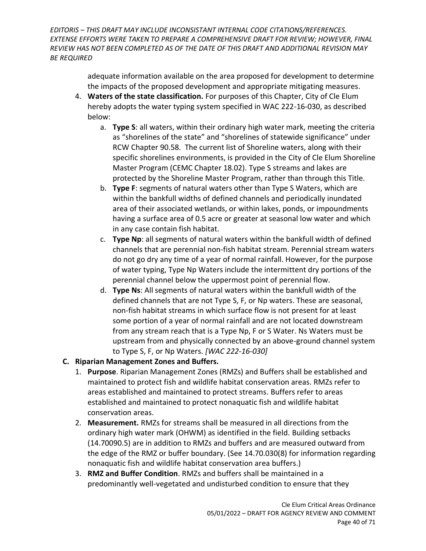> adequate information available on the area proposed for development to determine the impacts of the proposed development and appropriate mitigating measures.

- 4. **Waters of the state classification.** For purposes of this Chapter, City of Cle Elum hereby adopts the water typing system specified in WAC 222-16-030, as described below:
	- a. **Type S**: all waters, within their ordinary high water mark, meeting the criteria as "shorelines of the state" and "shorelines of statewide significance" under RCW Chapter 90.58. The current list of Shoreline waters, along with their specific shorelines environments, is provided in the City of Cle Elum Shoreline Master Program (CEMC Chapter 18.02). Type S streams and lakes are protected by the Shoreline Master Program, rather than through this Title.
	- b. **Type F**: segments of natural waters other than Type S Waters, which are within the bankfull widths of defined channels and periodically inundated area of their associated wetlands, or within lakes, ponds, or impoundments having a surface area of 0.5 acre or greater at seasonal low water and which in any case contain fish habitat.
	- c. **Type Np**: all segments of natural waters within the bankfull width of defined channels that are perennial non-fish habitat stream. Perennial stream waters do not go dry any time of a year of normal rainfall. However, for the purpose of water typing, Type Np Waters include the intermittent dry portions of the perennial channel below the uppermost point of perennial flow.
	- d. **Type Ns**: All segments of natural waters within the bankfull width of the defined channels that are not Type S, F, or Np waters. These are seasonal, non-fish habitat streams in which surface flow is not present for at least some portion of a year of normal rainfall and are not located downstream from any stream reach that is a Type Np, F or S Water. Ns Waters must be upstream from and physically connected by an above-ground channel system to Type S, F, or Np Waters. *[WAC 222-16-030]*

# **C. Riparian Management Zones and Buffers.**

- 1. **Purpose**. Riparian Management Zones (RMZs) and Buffers shall be established and maintained to protect fish and wildlife habitat conservation areas. RMZs refer to areas established and maintained to protect streams. Buffers refer to areas established and maintained to protect nonaquatic fish and wildlife habitat conservation areas.
- 2. **Measurement.** RMZs for streams shall be measured in all directions from the ordinary high water mark (OHWM) as identified in the field. Building setbacks (14.70090.5) are in addition to RMZs and buffers and are measured outward from the edge of the RMZ or buffer boundary. (See 14.70.030(8) for information regarding nonaquatic fish and wildlife habitat conservation area buffers.)
- 3. **RMZ and Buffer Condition**. RMZs and buffers shall be maintained in a predominantly well-vegetated and undisturbed condition to ensure that they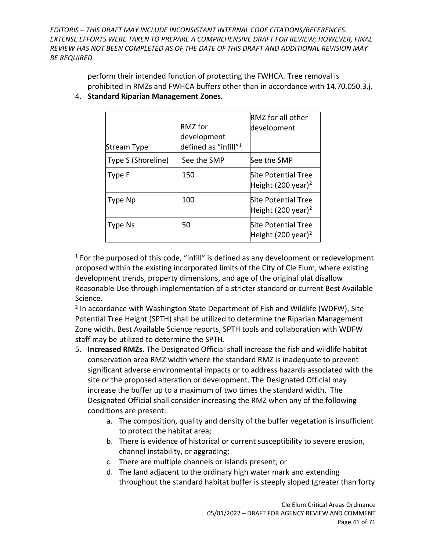> perform their intended function of protecting the FWHCA. Tree removal is prohibited in RMZs and FWHCA buffers other than in accordance with 14.70.050.3.j.

| Stream Type        | <b>RMZ</b> for<br>development<br>defined as "infill" <sup>1</sup> | RMZ for all other<br>development                      |
|--------------------|-------------------------------------------------------------------|-------------------------------------------------------|
| Type S (Shoreline) | See the SMP                                                       | See the SMP                                           |
| Type F             | 150                                                               | Site Potential Tree<br>Height (200 year) <sup>2</sup> |
| Type Np            | 100                                                               | Site Potential Tree<br>Height (200 year) <sup>2</sup> |
| Type Ns            | 50                                                                | Site Potential Tree<br>Height (200 year) <sup>2</sup> |

4. **Standard Riparian Management Zones.** 

 $<sup>1</sup>$  For the purposed of this code, "infill" is defined as any development or redevelopment</sup> proposed within the existing incorporated limits of the City of Cle Elum, where existing development trends, property dimensions, and age of the original plat disallow Reasonable Use through implementation of a stricter standard or current Best Available Science.

<sup>2</sup> In accordance with Washington State Department of Fish and Wildlife (WDFW), Site Potential Tree Height (SPTH) shall be utilized to determine the Riparian Management Zone width. Best Available Science reports, SPTH tools and collaboration with WDFW staff may be utilized to determine the SPTH.

- 5. **Increased RMZs.** The Designated Official shall increase the fish and wildlife habitat conservation area RMZ width where the standard RMZ is inadequate to prevent significant adverse environmental impacts or to address hazards associated with the site or the proposed alteration or development. The Designated Official may increase the buffer up to a maximum of two times the standard width. The Designated Official shall consider increasing the RMZ when any of the following conditions are present:
	- a. The composition, quality and density of the buffer vegetation is insufficient to protect the habitat area;
	- b. There is evidence of historical or current susceptibility to severe erosion, channel instability, or aggrading;
	- c. There are multiple channels or islands present; or
	- d. The land adjacent to the ordinary high water mark and extending throughout the standard habitat buffer is steeply sloped (greater than forty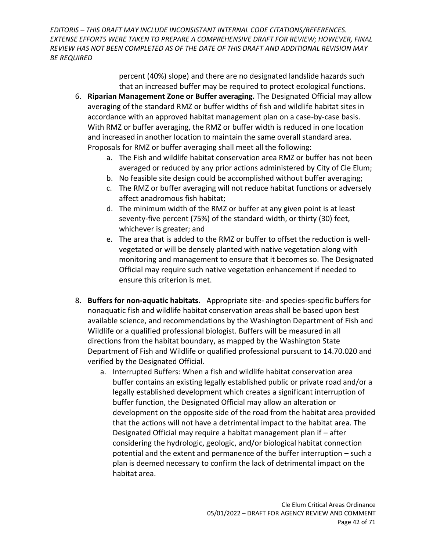> percent (40%) slope) and there are no designated landslide hazards such that an increased buffer may be required to protect ecological functions.

- 6. **Riparian Management Zone or Buffer averaging.** The Designated Official may allow averaging of the standard RMZ or buffer widths of fish and wildlife habitat sites in accordance with an approved habitat management plan on a case-by-case basis. With RMZ or buffer averaging, the RMZ or buffer width is reduced in one location and increased in another location to maintain the same overall standard area. Proposals for RMZ or buffer averaging shall meet all the following:
	- a. The Fish and wildlife habitat conservation area RMZ or buffer has not been averaged or reduced by any prior actions administered by City of Cle Elum;
	- b. No feasible site design could be accomplished without buffer averaging;
	- c. The RMZ or buffer averaging will not reduce habitat functions or adversely affect anadromous fish habitat;
	- d. The minimum width of the RMZ or buffer at any given point is at least seventy-five percent (75%) of the standard width, or thirty (30) feet, whichever is greater; and
	- e. The area that is added to the RMZ or buffer to offset the reduction is wellvegetated or will be densely planted with native vegetation along with monitoring and management to ensure that it becomes so. The Designated Official may require such native vegetation enhancement if needed to ensure this criterion is met.
- 8. **Buffers for non-aquatic habitats.** Appropriate site- and species-specific buffers for nonaquatic fish and wildlife habitat conservation areas shall be based upon best available science, and recommendations by the Washington Department of Fish and Wildlife or a qualified professional biologist. Buffers will be measured in all directions from the habitat boundary, as mapped by the Washington State Department of Fish and Wildlife or qualified professional pursuant to 14.70.020 and verified by the Designated Official.
	- a. Interrupted Buffers: When a fish and wildlife habitat conservation area buffer contains an existing legally established public or private road and/or a legally established development which creates a significant interruption of buffer function, the Designated Official may allow an alteration or development on the opposite side of the road from the habitat area provided that the actions will not have a detrimental impact to the habitat area. The Designated Official may require a habitat management plan if – after considering the hydrologic, geologic, and/or biological habitat connection potential and the extent and permanence of the buffer interruption – such a plan is deemed necessary to confirm the lack of detrimental impact on the habitat area.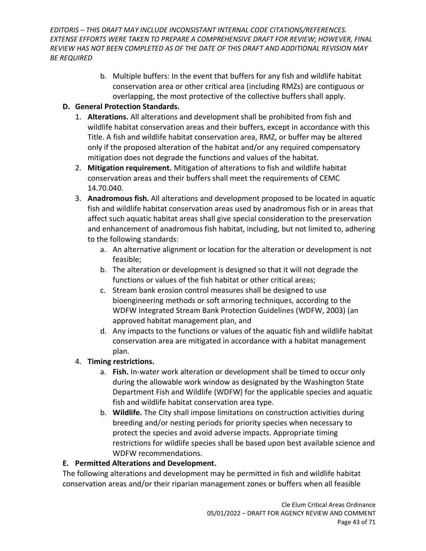> b. Multiple buffers: In the event that buffers for any fish and wildlife habitat conservation area or other critical area (including RMZs) are contiguous or overlapping, the most protective of the collective buffers shall apply.

### **D. General Protection Standards.**

- 1. **Alterations.** All alterations and development shall be prohibited from fish and wildlife habitat conservation areas and their buffers, except in accordance with this Title. A fish and wildlife habitat conservation area, RMZ, or buffer may be altered only if the proposed alteration of the habitat and/or any required compensatory mitigation does not degrade the functions and values of the habitat.
- 2. **Mitigation requirement.** Mitigation of alterations to fish and wildlife habitat conservation areas and their buffers shall meet the requirements of CEMC 14.70.040.
- 3. **Anadromous fish.** All alterations and development proposed to be located in aquatic fish and wildlife habitat conservation areas used by anadromous fish or in areas that affect such aquatic habitat areas shall give special consideration to the preservation and enhancement of anadromous fish habitat, including, but not limited to, adhering to the following standards:
	- a. An alternative alignment or location for the alteration or development is not feasible;
	- b. The alteration or development is designed so that it will not degrade the functions or values of the fish habitat or other critical areas;
	- c. Stream bank erosion control measures shall be designed to use bioengineering methods or soft armoring techniques, according to the WDFW Integrated Stream Bank Protection Guidelines (WDFW, 2003) (an approved habitat management plan, and
	- d. Any impacts to the functions or values of the aquatic fish and wildlife habitat conservation area are mitigated in accordance with a habitat management plan.

### 4. **Timing restrictions.**

- a. **Fish.** In-water work alteration or development shall be timed to occur only during the allowable work window as designated by the Washington State Department Fish and Wildlife (WDFW) for the applicable species and aquatic fish and wildlife habitat conservation area type.
- b. **Wildlife.** The City shall impose limitations on construction activities during breeding and/or nesting periods for priority species when necessary to protect the species and avoid adverse impacts. Appropriate timing restrictions for wildlife species shall be based upon best available science and WDFW recommendations.

### **E. Permitted Alterations and Development.**

The following alterations and development may be permitted in fish and wildlife habitat conservation areas and/or their riparian management zones or buffers when all feasible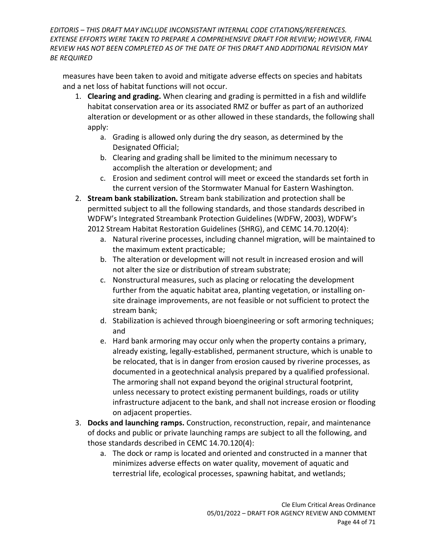measures have been taken to avoid and mitigate adverse effects on species and habitats and a net loss of habitat functions will not occur.

- 1. **Clearing and grading.** When clearing and grading is permitted in a fish and wildlife habitat conservation area or its associated RMZ or buffer as part of an authorized alteration or development or as other allowed in these standards, the following shall apply:
	- a. Grading is allowed only during the dry season, as determined by the Designated Official;
	- b. Clearing and grading shall be limited to the minimum necessary to accomplish the alteration or development; and
	- c. Erosion and sediment control will meet or exceed the standards set forth in the current version of the Stormwater Manual for Eastern Washington.
- 2. **Stream bank stabilization.** Stream bank stabilization and protection shall be permitted subject to all the following standards, and those standards described in WDFW's Integrated Streambank Protection Guidelines (WDFW, 2003), WDFW's 2012 Stream Habitat Restoration Guidelines (SHRG), and CEMC 14.70.120(4):
	- a. Natural riverine processes, including channel migration, will be maintained to the maximum extent practicable;
	- b. The alteration or development will not result in increased erosion and will not alter the size or distribution of stream substrate;
	- c. Nonstructural measures, such as placing or relocating the development further from the aquatic habitat area, planting vegetation, or installing onsite drainage improvements, are not feasible or not sufficient to protect the stream bank;
	- d. Stabilization is achieved through bioengineering or soft armoring techniques; and
	- e. Hard bank armoring may occur only when the property contains a primary, already existing, legally-established, permanent structure, which is unable to be relocated, that is in danger from erosion caused by riverine processes, as documented in a geotechnical analysis prepared by a qualified professional. The armoring shall not expand beyond the original structural footprint, unless necessary to protect existing permanent buildings, roads or utility infrastructure adjacent to the bank, and shall not increase erosion or flooding on adjacent properties.
- 3. **Docks and launching ramps.** Construction, reconstruction, repair, and maintenance of docks and public or private launching ramps are subject to all the following, and those standards described in CEMC 14.70.120(4):
	- a. The dock or ramp is located and oriented and constructed in a manner that minimizes adverse effects on water quality, movement of aquatic and terrestrial life, ecological processes, spawning habitat, and wetlands;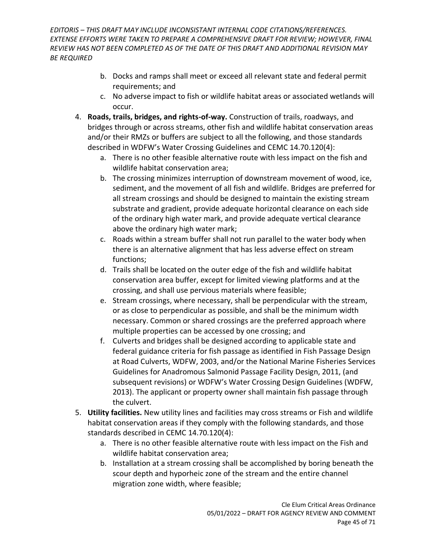- b. Docks and ramps shall meet or exceed all relevant state and federal permit requirements; and
- c. No adverse impact to fish or wildlife habitat areas or associated wetlands will occur.
- 4. **Roads, trails, bridges, and rights-of-way.** Construction of trails, roadways, and bridges through or across streams, other fish and wildlife habitat conservation areas and/or their RMZs or buffers are subject to all the following, and those standards described in WDFW's Water Crossing Guidelines and CEMC 14.70.120(4):
	- a. There is no other feasible alternative route with less impact on the fish and wildlife habitat conservation area;
	- b. The crossing minimizes interruption of downstream movement of wood, ice, sediment, and the movement of all fish and wildlife. Bridges are preferred for all stream crossings and should be designed to maintain the existing stream substrate and gradient, provide adequate horizontal clearance on each side of the ordinary high water mark, and provide adequate vertical clearance above the ordinary high water mark;
	- c. Roads within a stream buffer shall not run parallel to the water body when there is an alternative alignment that has less adverse effect on stream functions;
	- d. Trails shall be located on the outer edge of the fish and wildlife habitat conservation area buffer, except for limited viewing platforms and at the crossing, and shall use pervious materials where feasible;
	- e. Stream crossings, where necessary, shall be perpendicular with the stream, or as close to perpendicular as possible, and shall be the minimum width necessary. Common or shared crossings are the preferred approach where multiple properties can be accessed by one crossing; and
	- f. Culverts and bridges shall be designed according to applicable state and federal guidance criteria for fish passage as identified in Fish Passage Design at Road Culverts, WDFW, 2003, and/or the National Marine Fisheries Services Guidelines for Anadromous Salmonid Passage Facility Design, 2011, (and subsequent revisions) or WDFW's Water Crossing Design Guidelines (WDFW, 2013). The applicant or property owner shall maintain fish passage through the culvert.
- 5. **Utility facilities.** New utility lines and facilities may cross streams or Fish and wildlife habitat conservation areas if they comply with the following standards, and those standards described in CEMC 14.70.120(4):
	- a. There is no other feasible alternative route with less impact on the Fish and wildlife habitat conservation area;
	- b. Installation at a stream crossing shall be accomplished by boring beneath the scour depth and hyporheic zone of the stream and the entire channel migration zone width, where feasible;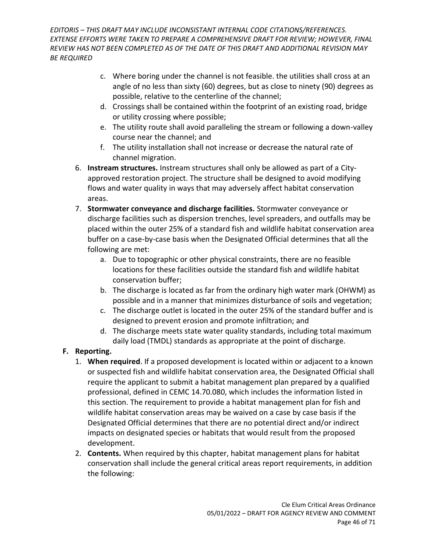- c. Where boring under the channel is not feasible. the utilities shall cross at an angle of no less than sixty (60) degrees, but as close to ninety (90) degrees as possible, relative to the centerline of the channel;
- d. Crossings shall be contained within the footprint of an existing road, bridge or utility crossing where possible;
- e. The utility route shall avoid paralleling the stream or following a down-valley course near the channel; and
- f. The utility installation shall not increase or decrease the natural rate of channel migration.
- 6. **Instream structures.** Instream structures shall only be allowed as part of a Cityapproved restoration project. The structure shall be designed to avoid modifying flows and water quality in ways that may adversely affect habitat conservation areas.
- 7. **Stormwater conveyance and discharge facilities.** Stormwater conveyance or discharge facilities such as dispersion trenches, level spreaders, and outfalls may be placed within the outer 25% of a standard fish and wildlife habitat conservation area buffer on a case-by-case basis when the Designated Official determines that all the following are met:
	- a. Due to topographic or other physical constraints, there are no feasible locations for these facilities outside the standard fish and wildlife habitat conservation buffer;
	- b. The discharge is located as far from the ordinary high water mark (OHWM) as possible and in a manner that minimizes disturbance of soils and vegetation;
	- c. The discharge outlet is located in the outer 25% of the standard buffer and is designed to prevent erosion and promote infiltration; and
	- d. The discharge meets state water quality standards, including total maximum daily load (TMDL) standards as appropriate at the point of discharge.

### **F. Reporting.**

- 1. **When required**. If a proposed development is located within or adjacent to a known or suspected fish and wildlife habitat conservation area, the Designated Official shall require the applicant to submit a habitat management plan prepared by a qualified professional, defined in CEMC 14.70.080, which includes the information listed in this section. The requirement to provide a habitat management plan for fish and wildlife habitat conservation areas may be waived on a case by case basis if the Designated Official determines that there are no potential direct and/or indirect impacts on designated species or habitats that would result from the proposed development.
- 2. **Contents.** When required by this chapter, habitat management plans for habitat conservation shall include the general critical areas report requirements, in addition the following: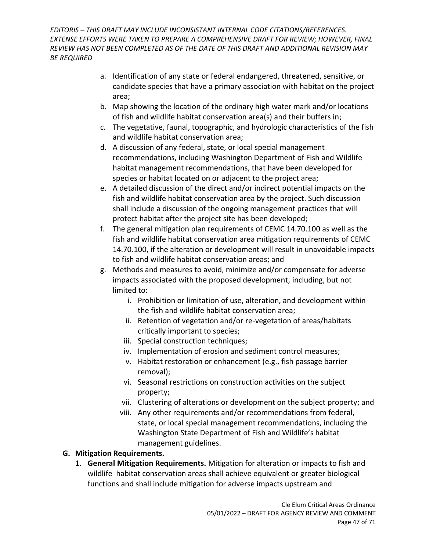- a. Identification of any state or federal endangered, threatened, sensitive, or candidate species that have a primary association with habitat on the project area;
- b. Map showing the location of the ordinary high water mark and/or locations of fish and wildlife habitat conservation area(s) and their buffers in;
- c. The vegetative, faunal, topographic, and hydrologic characteristics of the fish and wildlife habitat conservation area;
- d. A discussion of any federal, state, or local special management recommendations, including Washington Department of Fish and Wildlife habitat management recommendations, that have been developed for species or habitat located on or adjacent to the project area;
- e. A detailed discussion of the direct and/or indirect potential impacts on the fish and wildlife habitat conservation area by the project. Such discussion shall include a discussion of the ongoing management practices that will protect habitat after the project site has been developed;
- f. The general mitigation plan requirements of CEMC 14.70.100 as well as the fish and wildlife habitat conservation area mitigation requirements of CEMC 14.70.100, if the alteration or development will result in unavoidable impacts to fish and wildlife habitat conservation areas; and
- g. Methods and measures to avoid, minimize and/or compensate for adverse impacts associated with the proposed development, including, but not limited to:
	- i. Prohibition or limitation of use, alteration, and development within the fish and wildlife habitat conservation area;
	- ii. Retention of vegetation and/or re-vegetation of areas/habitats critically important to species;
	- iii. Special construction techniques;
	- iv. Implementation of erosion and sediment control measures;
	- v. Habitat restoration or enhancement (e.g., fish passage barrier removal);
	- vi. Seasonal restrictions on construction activities on the subject property;
	- vii. Clustering of alterations or development on the subject property; and
	- viii. Any other requirements and/or recommendations from federal, state, or local special management recommendations, including the Washington State Department of Fish and Wildlife's habitat management guidelines.

### **G. Mitigation Requirements.**

1. **General Mitigation Requirements.** Mitigation for alteration or impacts to fish and wildlife habitat conservation areas shall achieve equivalent or greater biological functions and shall include mitigation for adverse impacts upstream and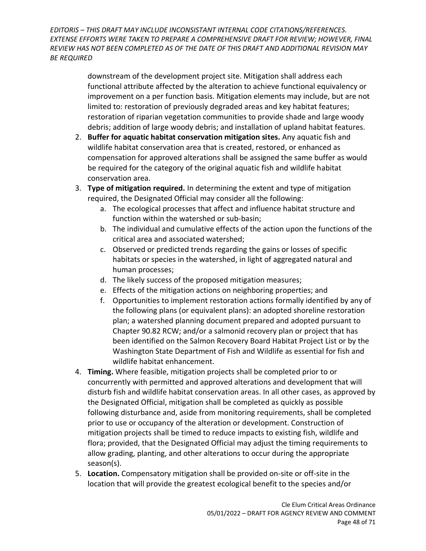> downstream of the development project site. Mitigation shall address each functional attribute affected by the alteration to achieve functional equivalency or improvement on a per function basis. Mitigation elements may include, but are not limited to: restoration of previously degraded areas and key habitat features; restoration of riparian vegetation communities to provide shade and large woody debris; addition of large woody debris; and installation of upland habitat features.

- 2. **Buffer for aquatic habitat conservation mitigation sites.** Any aquatic fish and wildlife habitat conservation area that is created, restored, or enhanced as compensation for approved alterations shall be assigned the same buffer as would be required for the category of the original aquatic fish and wildlife habitat conservation area.
- 3. **Type of mitigation required.** In determining the extent and type of mitigation required, the Designated Official may consider all the following:
	- a. The ecological processes that affect and influence habitat structure and function within the watershed or sub-basin;
	- b. The individual and cumulative effects of the action upon the functions of the critical area and associated watershed;
	- c. Observed or predicted trends regarding the gains or losses of specific habitats or species in the watershed, in light of aggregated natural and human processes;
	- d. The likely success of the proposed mitigation measures;
	- e. Effects of the mitigation actions on neighboring properties; and
	- f. Opportunities to implement restoration actions formally identified by any of the following plans (or equivalent plans): an adopted shoreline restoration plan; a watershed planning document prepared and adopted pursuant to Chapte[r 90.82](http://www.codepublishing.com/cgi-bin/rcw.pl?cite=90.82) RCW; and/or a salmonid recovery plan or project that has been identified on the Salmon Recovery Board Habitat Project List or by the Washington State Department of Fish and Wildlife as essential for fish and wildlife habitat enhancement.
- 4. **Timing.** Where feasible, mitigation projects shall be completed prior to or concurrently with permitted and approved alterations and development that will disturb fish and wildlife habitat conservation areas. In all other cases, as approved by the Designated Official, mitigation shall be completed as quickly as possible following disturbance and, aside from monitoring requirements, shall be completed prior to use or occupancy of the alteration or development. Construction of mitigation projects shall be timed to reduce impacts to existing fish, wildlife and flora; provided, that the Designated Official may adjust the timing requirements to allow grading, planting, and other alterations to occur during the appropriate season(s).
- 5. **Location.** Compensatory mitigation shall be provided on-site or off-site in the location that will provide the greatest ecological benefit to the species and/or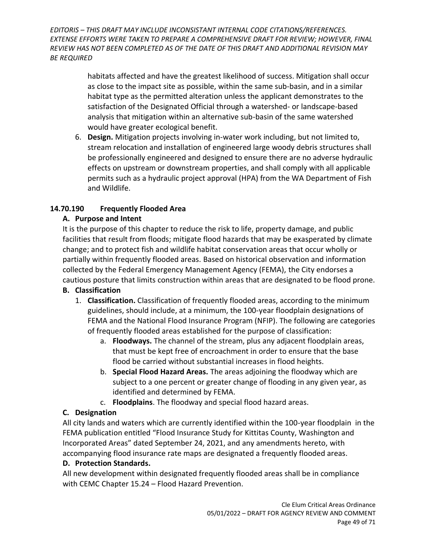> habitats affected and have the greatest likelihood of success. Mitigation shall occur as close to the impact site as possible, within the same sub-basin, and in a similar habitat type as the permitted alteration unless the applicant demonstrates to the satisfaction of the Designated Official through a watershed- or landscape-based analysis that mitigation within an alternative sub-basin of the same watershed would have greater ecological benefit.

6. **Design.** Mitigation projects involving in-water work including, but not limited to, stream relocation and installation of engineered large woody debris structures shall be professionally engineered and designed to ensure there are no adverse hydraulic effects on upstream or downstream properties, and shall comply with all applicable permits such as a hydraulic project approval (HPA) from the WA Department of Fish and Wildlife.

### <span id="page-48-0"></span>**14.70.190 Frequently Flooded Area**

### **A. Purpose and Intent**

It is the purpose of this chapter to reduce the risk to life, property damage, and public facilities that result from floods; mitigate flood hazards that may be exasperated by climate change; and to protect fish and wildlife habitat conservation areas that occur wholly or partially within frequently flooded areas. Based on historical observation and information collected by the Federal Emergency Management Agency (FEMA), the City endorses a cautious posture that limits construction within areas that are designated to be flood prone.

### **B. Classification**

- 1. **Classification.** Classification of frequently flooded areas, according to the minimum guidelines, should include, at a minimum, the 100-year floodplain designations of FEMA and the National Flood Insurance Program (NFIP). The following are categories of frequently flooded areas established for the purpose of classification:
	- a. **Floodways.** The channel of the stream, plus any adjacent floodplain areas, that must be kept free of encroachment in order to ensure that the base flood be carried without substantial increases in flood heights.
	- b. **Special Flood Hazard Areas.** The areas adjoining the floodway which are subject to a one percent or greater change of flooding in any given year, as identified and determined by FEMA.
	- c. **Floodplains**. The floodway and special flood hazard areas.

# **C. Designation**

All city lands and waters which are currently identified within the 100-year floodplain in the FEMA publication entitled "Flood Insurance Study for Kittitas County, Washington and Incorporated Areas" dated September 24, 2021, and any amendments hereto, with accompanying flood insurance rate maps are designated a frequently flooded areas.

### **D. Protection Standards.**

All new development within designated frequently flooded areas shall be in compliance with CEMC Chapter 15.24 – Flood Hazard Prevention.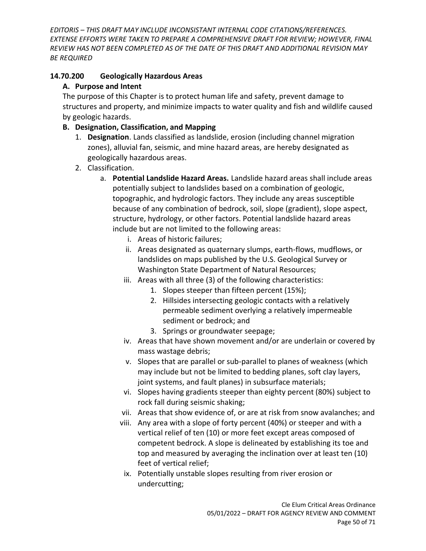### <span id="page-49-0"></span>**14.70.200 Geologically Hazardous Areas**

### **A. Purpose and Intent**

The purpose of this Chapter is to protect human life and safety, prevent damage to structures and property, and minimize impacts to water quality and fish and wildlife caused by geologic hazards.

### **B. Designation, Classification, and Mapping**

- 1. **Designation**. Lands classified as landslide, erosion (including channel migration zones), alluvial fan, seismic, and mine hazard areas, are hereby designated as geologically hazardous areas.
- 2. Classification.
	- a. **Potential Landslide Hazard Areas.** Landslide hazard areas shall include areas potentially subject to landslides based on a combination of geologic, topographic, and hydrologic factors. They include any areas susceptible because of any combination of bedrock, soil, slope (gradient), slope aspect, structure, hydrology, or other factors. Potential landslide hazard areas include but are not limited to the following areas:
		- i. Areas of historic failures;
		- ii. Areas designated as quaternary slumps, earth-flows, mudflows, or landslides on maps published by the U.S. Geological Survey or Washington State Department of Natural Resources;
		- iii. Areas with all three (3) of the following characteristics:
			- 1. Slopes steeper than fifteen percent (15%);
			- 2. Hillsides intersecting geologic contacts with a relatively permeable sediment overlying a relatively impermeable sediment or bedrock; and
			- 3. Springs or groundwater seepage;
		- iv. Areas that have shown movement and/or are underlain or covered by mass wastage debris;
		- v. Slopes that are parallel or sub-parallel to planes of weakness (which may include but not be limited to bedding planes, soft clay layers, joint systems, and fault planes) in subsurface materials;
		- vi. Slopes having gradients steeper than eighty percent (80%) subject to rock fall during seismic shaking;
		- vii. Areas that show evidence of, or are at risk from snow avalanches; and
		- viii. Any area with a slope of forty percent (40%) or steeper and with a vertical relief of ten (10) or more feet except areas composed of competent bedrock. A slope is delineated by establishing its toe and top and measured by averaging the inclination over at least ten (10) feet of vertical relief;
		- ix. Potentially unstable slopes resulting from river erosion or undercutting;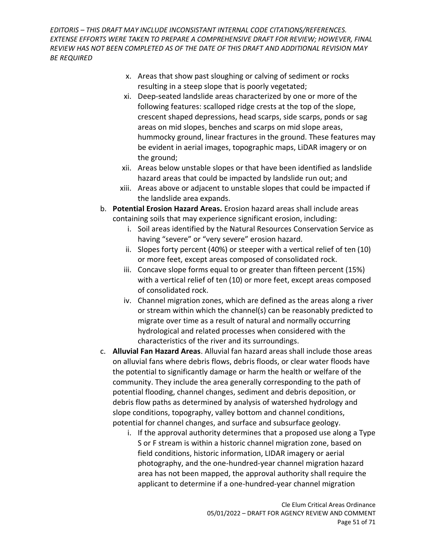- x. Areas that show past sloughing or calving of sediment or rocks resulting in a steep slope that is poorly vegetated;
- xi. Deep-seated landslide areas characterized by one or more of the following features: scalloped ridge crests at the top of the slope, crescent shaped depressions, head scarps, side scarps, ponds or sag areas on mid slopes, benches and scarps on mid slope areas, hummocky ground, linear fractures in the ground. These features may be evident in aerial images, topographic maps, LiDAR imagery or on the ground;
- xii. Areas below unstable slopes or that have been identified as landslide hazard areas that could be impacted by landslide run out; and
- xiii. Areas above or adjacent to unstable slopes that could be impacted if the landslide area expands.
- b. **Potential Erosion Hazard Areas.** Erosion hazard areas shall include areas containing soils that may experience significant erosion, including:
	- i. Soil areas identified by the Natural Resources Conservation Service as having "severe" or "very severe" erosion hazard.
	- ii. Slopes forty percent (40%) or steeper with a vertical relief of ten (10) or more feet, except areas composed of consolidated rock.
	- iii. Concave slope forms equal to or greater than fifteen percent (15%) with a vertical relief of ten (10) or more feet, except areas composed of consolidated rock.
	- iv. Channel migration zones, which are defined as the areas along a river or stream within which the channel(s) can be reasonably predicted to migrate over time as a result of natural and normally occurring hydrological and related processes when considered with the characteristics of the river and its surroundings.
- c. **Alluvial Fan Hazard Areas**. Alluvial fan hazard areas shall include those areas on alluvial fans where debris flows, debris floods, or clear water floods have the potential to significantly damage or harm the health or welfare of the community. They include the area generally corresponding to the path of potential flooding, channel changes, sediment and debris deposition, or debris flow paths as determined by analysis of watershed hydrology and slope conditions, topography, valley bottom and channel conditions, potential for channel changes, and surface and subsurface geology.
	- i. If the approval authority determines that a proposed use along a Type S or F stream is within a historic channel migration zone, based on field conditions, historic information, LIDAR imagery or aerial photography, and the one-hundred-year channel migration hazard area has not been mapped, the approval authority shall require the applicant to determine if a one-hundred-year channel migration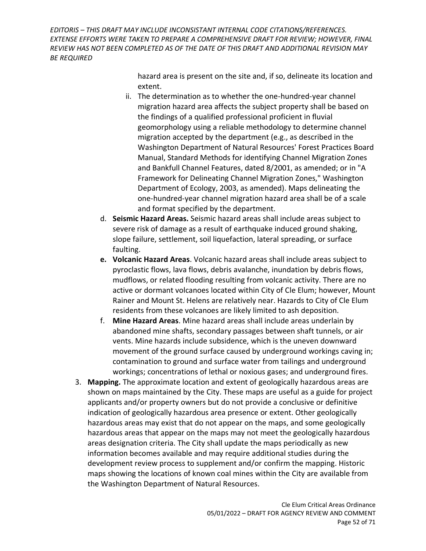> hazard area is present on the site and, if so, delineate its location and extent.

- ii. The determination as to whether the one-hundred-year channel migration hazard area affects the subject property shall be based on the findings of a qualified professional proficient in fluvial geomorphology using a reliable methodology to determine channel migration accepted by the department (e.g., as described in the Washington Department of Natural Resources' Forest Practices Board Manual, Standard Methods for identifying Channel Migration Zones and Bankfull Channel Features, dated 8/2001, as amended; or in "A Framework for Delineating Channel Migration Zones," Washington Department of Ecology, 2003, as amended). Maps delineating the one-hundred-year channel migration hazard area shall be of a scale and format specified by the department.
- d. **Seismic Hazard Areas.** Seismic hazard areas shall include areas subject to severe risk of damage as a result of earthquake induced ground shaking, slope failure, settlement, soil liquefaction, lateral spreading, or surface faulting.
- **e. Volcanic Hazard Areas**. Volcanic hazard areas shall include areas subject to pyroclastic flows, lava flows, debris avalanche, inundation by debris flows, mudflows, or related flooding resulting from volcanic activity. There are no active or dormant volcanoes located within City of Cle Elum; however, Mount Rainer and Mount St. Helens are relatively near. Hazards to City of Cle Elum residents from these volcanoes are likely limited to ash deposition.
- f. **Mine Hazard Areas**. Mine hazard areas shall include areas underlain by abandoned mine shafts, secondary passages between shaft tunnels, or air vents. Mine hazards include subsidence, which is the uneven downward movement of the ground surface caused by underground workings caving in; contamination to ground and surface water from tailings and underground workings; concentrations of lethal or noxious gases; and underground fires.
- 3. **Mapping.** The approximate location and extent of geologically hazardous areas are shown on maps maintained by the City. These maps are useful as a guide for project applicants and/or property owners but do not provide a conclusive or definitive indication of geologically hazardous area presence or extent. Other geologically hazardous areas may exist that do not appear on the maps, and some geologically hazardous areas that appear on the maps may not meet the geologically hazardous areas designation criteria. The City shall update the maps periodically as new information becomes available and may require additional studies during the development review process to supplement and/or confirm the mapping. Historic maps showing the locations of known coal mines within the City are available from the Washington Department of Natural Resources.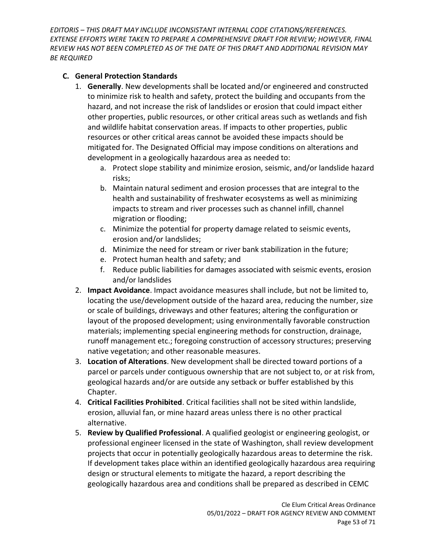#### **C. General Protection Standards**

- 1. **Generally**. New developments shall be located and/or engineered and constructed to minimize risk to health and safety, protect the building and occupants from the hazard, and not increase the risk of landslides or erosion that could impact either other properties, public resources, or other critical areas such as wetlands and fish and wildlife habitat conservation areas. If impacts to other properties, public resources or other critical areas cannot be avoided these impacts should be mitigated for. The Designated Official may impose conditions on alterations and development in a geologically hazardous area as needed to:
	- a. Protect slope stability and minimize erosion, seismic, and/or landslide hazard risks;
	- b. Maintain natural sediment and erosion processes that are integral to the health and sustainability of freshwater ecosystems as well as minimizing impacts to stream and river processes such as channel infill, channel migration or flooding;
	- c. Minimize the potential for property damage related to seismic events, erosion and/or landslides;
	- d. Minimize the need for stream or river bank stabilization in the future;
	- e. Protect human health and safety; and
	- f. Reduce public liabilities for damages associated with seismic events, erosion and/or landslides
- 2. **Impact Avoidance**. Impact avoidance measures shall include, but not be limited to, locating the use/development outside of the hazard area, reducing the number, size or scale of buildings, driveways and other features; altering the configuration or layout of the proposed development; using environmentally favorable construction materials; implementing special engineering methods for construction, drainage, runoff management etc.; foregoing construction of accessory structures; preserving native vegetation; and other reasonable measures.
- 3. **Location of Alterations**. New development shall be directed toward portions of a parcel or parcels under contiguous ownership that are not subject to, or at risk from, geological hazards and/or are outside any setback or buffer established by this Chapter.
- 4. **Critical Facilities Prohibited**. Critical facilities shall not be sited within landslide, erosion, alluvial fan, or mine hazard areas unless there is no other practical alternative.
- 5. **Review by Qualified Professional**. A qualified geologist or engineering geologist, or professional engineer licensed in the state of Washington, shall review development projects that occur in potentially geologically hazardous areas to determine the risk. If development takes place within an identified geologically hazardous area requiring design or structural elements to mitigate the hazard, a report describing the geologically hazardous area and conditions shall be prepared as described in CEMC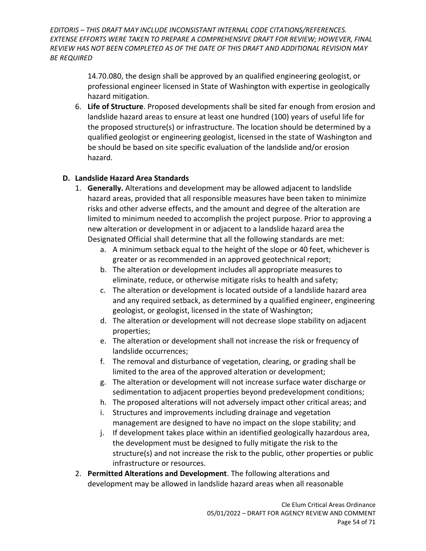> 14.70.080, the design shall be approved by an qualified engineering geologist, or professional engineer licensed in State of Washington with expertise in geologically hazard mitigation.

6. **Life of Structure**. Proposed developments shall be sited far enough from erosion and landslide hazard areas to ensure at least one hundred (100) years of useful life for the proposed structure(s) or infrastructure. The location should be determined by a qualified geologist or engineering geologist, licensed in the state of Washington and be should be based on site specific evaluation of the landslide and/or erosion hazard.

#### **D. Landslide Hazard Area Standards**

- 1. **Generally.** Alterations and development may be allowed adjacent to landslide hazard areas, provided that all responsible measures have been taken to minimize risks and other adverse effects, and the amount and degree of the alteration are limited to minimum needed to accomplish the project purpose. Prior to approving a new alteration or development in or adjacent to a landslide hazard area the Designated Official shall determine that all the following standards are met:
	- a. A minimum setback equal to the height of the slope or 40 feet, whichever is greater or as recommended in an approved geotechnical report;
	- b. The alteration or development includes all appropriate measures to eliminate, reduce, or otherwise mitigate risks to health and safety;
	- c. The alteration or development is located outside of a landslide hazard area and any required setback, as determined by a qualified engineer, engineering geologist, or geologist, licensed in the state of Washington;
	- d. The alteration or development will not decrease slope stability on adjacent properties;
	- e. The alteration or development shall not increase the risk or frequency of landslide occurrences;
	- f. The removal and disturbance of vegetation, clearing, or grading shall be limited to the area of the approved alteration or development;
	- g. The alteration or development will not increase surface water discharge or sedimentation to adjacent properties beyond predevelopment conditions;
	- h. The proposed alterations will not adversely impact other critical areas; and
	- i. Structures and improvements including drainage and vegetation management are designed to have no impact on the slope stability; and
	- j. If development takes place within an identified geologically hazardous area, the development must be designed to fully mitigate the risk to the structure(s) and not increase the risk to the public, other properties or public infrastructure or resources.
- 2. **Permitted Alterations and Development**. The following alterations and development may be allowed in landslide hazard areas when all reasonable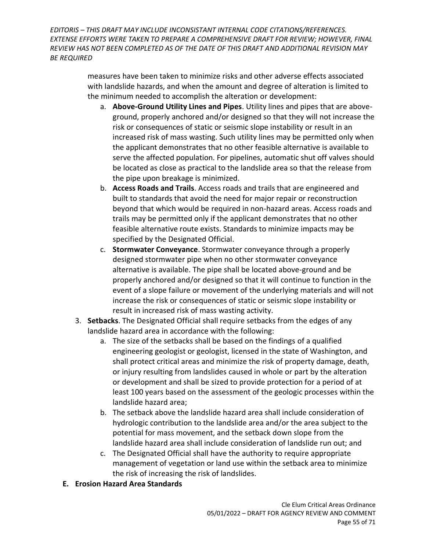> measures have been taken to minimize risks and other adverse effects associated with landslide hazards, and when the amount and degree of alteration is limited to the minimum needed to accomplish the alteration or development:

- a. **Above-Ground Utility Lines and Pipes**. Utility lines and pipes that are aboveground, properly anchored and/or designed so that they will not increase the risk or consequences of static or seismic slope instability or result in an increased risk of mass wasting. Such utility lines may be permitted only when the applicant demonstrates that no other feasible alternative is available to serve the affected population. For pipelines, automatic shut off valves should be located as close as practical to the landslide area so that the release from the pipe upon breakage is minimized.
- b. **Access Roads and Trails**. Access roads and trails that are engineered and built to standards that avoid the need for major repair or reconstruction beyond that which would be required in non-hazard areas. Access roads and trails may be permitted only if the applicant demonstrates that no other feasible alternative route exists. Standards to minimize impacts may be specified by the Designated Official.
- c. **Stormwater Conveyance**. Stormwater conveyance through a properly designed stormwater pipe when no other stormwater conveyance alternative is available. The pipe shall be located above-ground and be properly anchored and/or designed so that it will continue to function in the event of a slope failure or movement of the underlying materials and will not increase the risk or consequences of static or seismic slope instability or result in increased risk of mass wasting activity.
- 3. **Setbacks**. The Designated Official shall require setbacks from the edges of any landslide hazard area in accordance with the following:
	- a. The size of the setbacks shall be based on the findings of a qualified engineering geologist or geologist, licensed in the state of Washington, and shall protect critical areas and minimize the risk of property damage, death, or injury resulting from landslides caused in whole or part by the alteration or development and shall be sized to provide protection for a period of at least 100 years based on the assessment of the geologic processes within the landslide hazard area;
	- b. The setback above the landslide hazard area shall include consideration of hydrologic contribution to the landslide area and/or the area subject to the potential for mass movement, and the setback down slope from the landslide hazard area shall include consideration of landslide run out; and
	- c. The Designated Official shall have the authority to require appropriate management of vegetation or land use within the setback area to minimize the risk of increasing the risk of landslides.
- **E. Erosion Hazard Area Standards**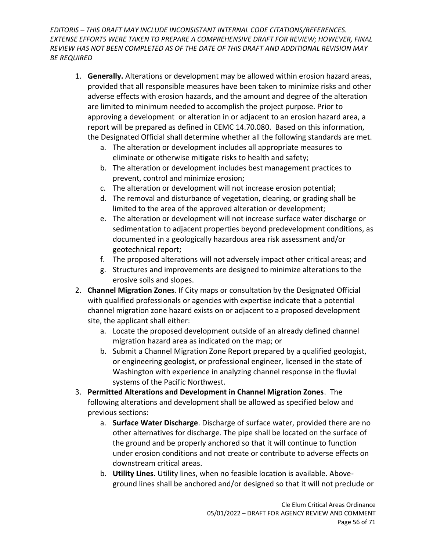- 1. **Generally.** Alterations or development may be allowed within erosion hazard areas, provided that all responsible measures have been taken to minimize risks and other adverse effects with erosion hazards, and the amount and degree of the alteration are limited to minimum needed to accomplish the project purpose. Prior to approving a development or alteration in or adjacent to an erosion hazard area, a report will be prepared as defined in CEMC 14.70.080. Based on this information, the Designated Official shall determine whether all the following standards are met.
	- a. The alteration or development includes all appropriate measures to eliminate or otherwise mitigate risks to health and safety;
	- b. The alteration or development includes best management practices to prevent, control and minimize erosion;
	- c. The alteration or development will not increase erosion potential;
	- d. The removal and disturbance of vegetation, clearing, or grading shall be limited to the area of the approved alteration or development;
	- e. The alteration or development will not increase surface water discharge or sedimentation to adjacent properties beyond predevelopment conditions, as documented in a geologically hazardous area risk assessment and/or geotechnical report;
	- f. The proposed alterations will not adversely impact other critical areas; and
	- g. Structures and improvements are designed to minimize alterations to the erosive soils and slopes.
- 2. **Channel Migration Zones**. If City maps or consultation by the Designated Official with qualified professionals or agencies with expertise indicate that a potential channel migration zone hazard exists on or adjacent to a proposed development site, the applicant shall either:
	- a. Locate the proposed development outside of an already defined channel migration hazard area as indicated on the map; or
	- b. Submit a Channel Migration Zone Report prepared by a qualified geologist, or engineering geologist, or professional engineer, licensed in the state of Washington with experience in analyzing channel response in the fluvial systems of the Pacific Northwest.
- 3. **Permitted Alterations and Development in Channel Migration Zones**. The following alterations and development shall be allowed as specified below and previous sections:
	- a. **Surface Water Discharge**. Discharge of surface water, provided there are no other alternatives for discharge. The pipe shall be located on the surface of the ground and be properly anchored so that it will continue to function under erosion conditions and not create or contribute to adverse effects on downstream critical areas.
	- b. **Utility Lines**. Utility lines, when no feasible location is available. Aboveground lines shall be anchored and/or designed so that it will not preclude or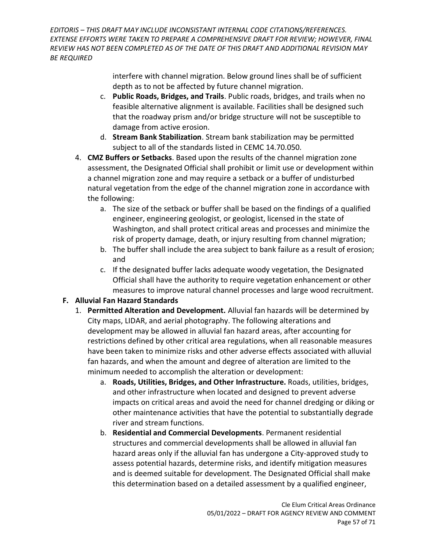> interfere with channel migration. Below ground lines shall be of sufficient depth as to not be affected by future channel migration.

- c. **Public Roads, Bridges, and Trails**. Public roads, bridges, and trails when no feasible alternative alignment is available. Facilities shall be designed such that the roadway prism and/or bridge structure will not be susceptible to damage from active erosion.
- d. **Stream Bank Stabilization**. Stream bank stabilization may be permitted subject to all of the standards listed in CEMC 14.70.050.
- 4. **CMZ Buffers or Setbacks**. Based upon the results of the channel migration zone assessment, the Designated Official shall prohibit or limit use or development within a channel migration zone and may require a setback or a buffer of undisturbed natural vegetation from the edge of the channel migration zone in accordance with the following:
	- a. The size of the setback or buffer shall be based on the findings of a qualified engineer, engineering geologist, or geologist, licensed in the state of Washington, and shall protect critical areas and processes and minimize the risk of property damage, death, or injury resulting from channel migration;
	- b. The buffer shall include the area subject to bank failure as a result of erosion; and
	- c. If the designated buffer lacks adequate woody vegetation, the Designated Official shall have the authority to require vegetation enhancement or other measures to improve natural channel processes and large wood recruitment.

### **F. Alluvial Fan Hazard Standards**

- 1. **Permitted Alteration and Development.** Alluvial fan hazards will be determined by City maps, LIDAR, and aerial photography. The following alterations and development may be allowed in alluvial fan hazard areas, after accounting for restrictions defined by other critical area regulations, when all reasonable measures have been taken to minimize risks and other adverse effects associated with alluvial fan hazards, and when the amount and degree of alteration are limited to the minimum needed to accomplish the alteration or development:
	- a. **Roads, Utilities, Bridges, and Other Infrastructure.** Roads, utilities, bridges, and other infrastructure when located and designed to prevent adverse impacts on critical areas and avoid the need for channel dredging or diking or other maintenance activities that have the potential to substantially degrade river and stream functions.
	- b. **Residential and Commercial Developments**. Permanent residential structures and commercial developments shall be allowed in alluvial fan hazard areas only if the alluvial fan has undergone a City-approved study to assess potential hazards, determine risks, and identify mitigation measures and is deemed suitable for development. The Designated Official shall make this determination based on a detailed assessment by a qualified engineer,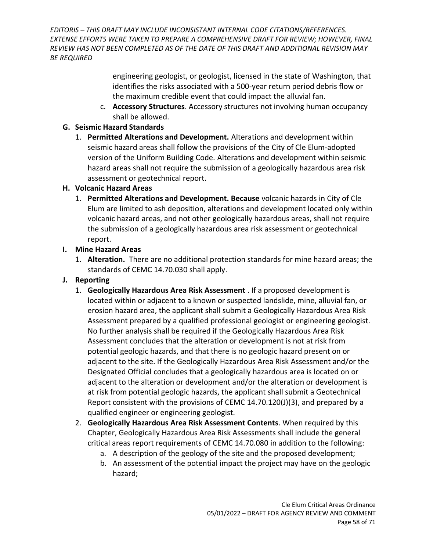> engineering geologist, or geologist, licensed in the state of Washington, that identifies the risks associated with a 500-year return period debris flow or the maximum credible event that could impact the alluvial fan.

c. **Accessory Structures**. Accessory structures not involving human occupancy shall be allowed.

#### **G. Seismic Hazard Standards**

1. **Permitted Alterations and Development.** Alterations and development within seismic hazard areas shall follow the provisions of the City of Cle Elum-adopted version of the Uniform Building Code. Alterations and development within seismic hazard areas shall not require the submission of a geologically hazardous area risk assessment or geotechnical report.

#### **H. Volcanic Hazard Areas**

- 1. **Permitted Alterations and Development. Because** volcanic hazards in City of Cle Elum are limited to ash deposition, alterations and development located only within volcanic hazard areas, and not other geologically hazardous areas, shall not require the submission of a geologically hazardous area risk assessment or geotechnical report.
- **I. Mine Hazard Areas**
	- 1. **Alteration.** There are no additional protection standards for mine hazard areas; the standards of CEMC 14.70.030 shall apply.
- **J. Reporting** 
	- 1. **Geologically Hazardous Area Risk Assessment** . If a proposed development is located within or adjacent to a known or suspected landslide, mine, alluvial fan, or erosion hazard area, the applicant shall submit a Geologically Hazardous Area Risk Assessment prepared by a qualified professional geologist or engineering geologist. No further analysis shall be required if the Geologically Hazardous Area Risk Assessment concludes that the alteration or development is not at risk from potential geologic hazards, and that there is no geologic hazard present on or adjacent to the site. If the Geologically Hazardous Area Risk Assessment and/or the Designated Official concludes that a geologically hazardous area is located on or adjacent to the alteration or development and/or the alteration or development is at risk from potential geologic hazards, the applicant shall submit a Geotechnical Report consistent with the provisions of CEMC 14.70.120(J)(3), and prepared by a qualified engineer or engineering geologist*.*
	- 2. **Geologically Hazardous Area Risk Assessment Contents**. When required by this Chapter, Geologically Hazardous Area Risk Assessments shall include the general critical areas report requirements of CEMC 14.70.080 in addition to the following:
		- a. A description of the geology of the site and the proposed development;
		- b. An assessment of the potential impact the project may have on the geologic hazard;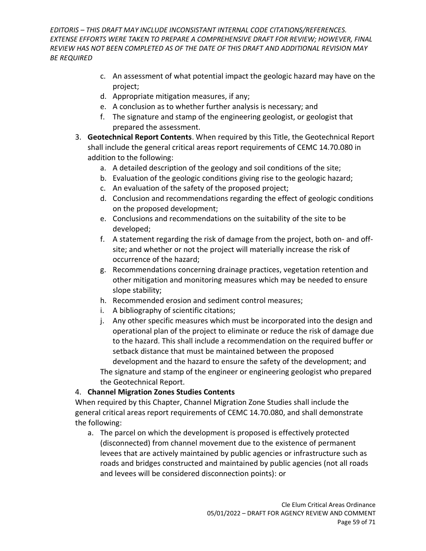- c. An assessment of what potential impact the geologic hazard may have on the project;
- d. Appropriate mitigation measures, if any;
- e. A conclusion as to whether further analysis is necessary; and
- f. The signature and stamp of the engineering geologist, or geologist that prepared the assessment.
- 3. **Geotechnical Report Contents**. When required by this Title, the Geotechnical Report shall include the general critical areas report requirements of CEMC 14.70.080 in addition to the following:
	- a. A detailed description of the geology and soil conditions of the site;
	- b. Evaluation of the geologic conditions giving rise to the geologic hazard;
	- c. An evaluation of the safety of the proposed project;
	- d. Conclusion and recommendations regarding the effect of geologic conditions on the proposed development;
	- e. Conclusions and recommendations on the suitability of the site to be developed;
	- f. A statement regarding the risk of damage from the project, both on- and offsite; and whether or not the project will materially increase the risk of occurrence of the hazard;
	- g. Recommendations concerning drainage practices, vegetation retention and other mitigation and monitoring measures which may be needed to ensure slope stability;
	- h. Recommended erosion and sediment control measures;
	- i. A bibliography of scientific citations;
	- j. Any other specific measures which must be incorporated into the design and operational plan of the project to eliminate or reduce the risk of damage due to the hazard. This shall include a recommendation on the required buffer or setback distance that must be maintained between the proposed development and the hazard to ensure the safety of the development; and The signature and stamp of the engineer or engineering geologist who prepared the Geotechnical Report.

### 4. **Channel Migration Zones Studies Contents**

When required by this Chapter, Channel Migration Zone Studies shall include the general critical areas report requirements of CEMC 14.70.080, and shall demonstrate the following:

a. The parcel on which the development is proposed is effectively protected (disconnected) from channel movement due to the existence of permanent levees that are actively maintained by public agencies or infrastructure such as roads and bridges constructed and maintained by public agencies (not all roads and levees will be considered disconnection points): or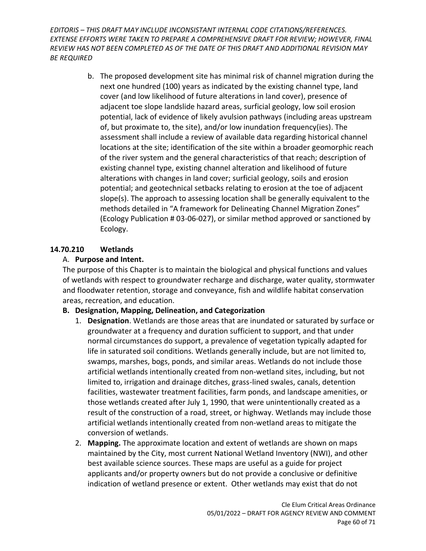> b. The proposed development site has minimal risk of channel migration during the next one hundred (100) years as indicated by the existing channel type, land cover (and low likelihood of future alterations in land cover), presence of adjacent toe slope landslide hazard areas, surficial geology, low soil erosion potential, lack of evidence of likely avulsion pathways (including areas upstream of, but proximate to, the site), and/or low inundation frequency(ies). The assessment shall include a review of available data regarding historical channel locations at the site; identification of the site within a broader geomorphic reach of the river system and the general characteristics of that reach; description of existing channel type, existing channel alteration and likelihood of future alterations with changes in land cover; surficial geology, soils and erosion potential; and geotechnical setbacks relating to erosion at the toe of adjacent slope(s). The approach to assessing location shall be generally equivalent to the methods detailed in "A framework for Delineating Channel Migration Zones" (Ecology Publication # 03-06-027), or similar method approved or sanctioned by Ecology.

#### <span id="page-59-0"></span>**14.70.210 Wetlands**

#### A. **Purpose and Intent.**

The purpose of this Chapter is to maintain the biological and physical functions and values of wetlands with respect to groundwater recharge and discharge, water quality, stormwater and floodwater retention, storage and conveyance, fish and wildlife habitat conservation areas, recreation, and education.

### **B. Designation, Mapping, Delineation, and Categorization**

- 1. **Designation**. Wetlands are those areas that are inundated or saturated by surface or groundwater at a frequency and duration sufficient to support, and that under normal circumstances do support, a prevalence of vegetation typically adapted for life in saturated soil conditions. Wetlands generally include, but are not limited to, swamps, marshes, bogs, ponds, and similar areas. Wetlands do not include those artificial wetlands intentionally created from non-wetland sites, including, but not limited to, irrigation and drainage ditches, grass-lined swales, canals, detention facilities, wastewater treatment facilities, farm ponds, and landscape amenities, or those wetlands created after July 1, 1990, that were unintentionally created as a result of the construction of a road, street, or highway. Wetlands may include those artificial wetlands intentionally created from non-wetland areas to mitigate the conversion of wetlands.
- 2. **Mapping.** The approximate location and extent of wetlands are shown on maps maintained by the City, most current National Wetland Inventory (NWI), and other best available science sources. These maps are useful as a guide for project applicants and/or property owners but do not provide a conclusive or definitive indication of wetland presence or extent. Other wetlands may exist that do not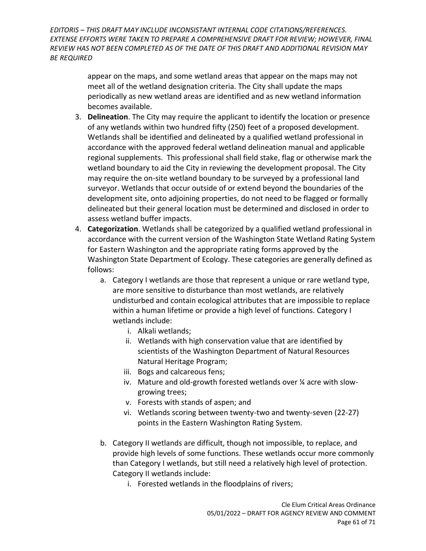> appear on the maps, and some wetland areas that appear on the maps may not meet all of the wetland designation criteria. The City shall update the maps periodically as new wetland areas are identified and as new wetland information becomes available.

- 3. **Delineation**. The City may require the applicant to identify the location or presence of any wetlands within two hundred fifty (250) feet of a proposed development. Wetlands shall be identified and delineated by a qualified wetland professional in accordance with the approved federal wetland delineation manual and applicable regional supplements. This professional shall field stake, flag or otherwise mark the wetland boundary to aid the City in reviewing the development proposal. The City may require the on-site wetland boundary to be surveyed by a professional land surveyor. Wetlands that occur outside of or extend beyond the boundaries of the development site, onto adjoining properties, do not need to be flagged or formally delineated but their general location must be determined and disclosed in order to assess wetland buffer impacts.
- 4. **Categorization**. Wetlands shall be categorized by a qualified wetland professional in accordance with the current version of the Washington State Wetland Rating System for Eastern Washington and the appropriate rating forms approved by the Washington State Department of Ecology. These categories are generally defined as follows:
	- a. Category I wetlands are those that represent a unique or rare wetland type, are more sensitive to disturbance than most wetlands, are relatively undisturbed and contain ecological attributes that are impossible to replace within a human lifetime or provide a high level of functions. Category I wetlands include:
		- i. Alkali wetlands;
		- ii. Wetlands with high conservation value that are identified by scientists of the Washington Department of Natural Resources Natural Heritage Program;
		- iii. Bogs and calcareous fens;
		- iv. Mature and old-growth forested wetlands over ¼ acre with slowgrowing trees;
		- v. Forests with stands of aspen; and
		- vi. Wetlands scoring between twenty-two and twenty-seven (22-27) points in the Eastern Washington Rating System.
	- b. Category II wetlands are difficult, though not impossible, to replace, and provide high levels of some functions. These wetlands occur more commonly than Category I wetlands, but still need a relatively high level of protection. Category II wetlands include:
		- i. Forested wetlands in the floodplains of rivers;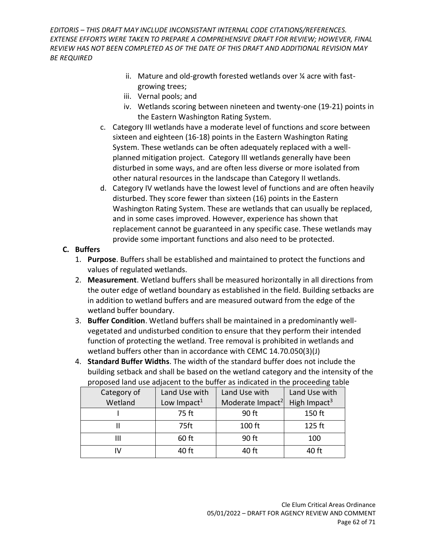- ii. Mature and old-growth forested wetlands over ¼ acre with fastgrowing trees;
- iii. Vernal pools; and
- iv. Wetlands scoring between nineteen and twenty-one (19-21) points in the Eastern Washington Rating System.
- c. Category III wetlands have a moderate level of functions and score between sixteen and eighteen (16-18) points in the Eastern Washington Rating System. These wetlands can be often adequately replaced with a wellplanned mitigation project. Category III wetlands generally have been disturbed in some ways, and are often less diverse or more isolated from other natural resources in the landscape than Category II wetlands.
- d. Category IV wetlands have the lowest level of functions and are often heavily disturbed. They score fewer than sixteen (16) points in the Eastern Washington Rating System. These are wetlands that can usually be replaced, and in some cases improved. However, experience has shown that replacement cannot be guaranteed in any specific case. These wetlands may provide some important functions and also need to be protected.

### **C. Buffers**

- 1. **Purpose**. Buffers shall be established and maintained to protect the functions and values of regulated wetlands.
- 2. **Measurement**. Wetland buffers shall be measured horizontally in all directions from the outer edge of wetland boundary as established in the field. Building setbacks are in addition to wetland buffers and are measured outward from the edge of the wetland buffer boundary.
- 3. **Buffer Condition**. Wetland buffers shall be maintained in a predominantly wellvegetated and undisturbed condition to ensure that they perform their intended function of protecting the wetland. Tree removal is prohibited in wetlands and wetland buffers other than in accordance with CEMC 14.70.050(3)(J)
- 4. **Standard Buffer Widths**. The width of the standard buffer does not include the building setback and shall be based on the wetland category and the intensity of the proposed land use adjacent to the buffer as indicated in the proceeding table

| Category of | Land Use with           | Land Use with                | Land Use with            |
|-------------|-------------------------|------------------------------|--------------------------|
| Wetland     | Low Impact <sup>1</sup> | Moderate Impact <sup>2</sup> | High Impact <sup>3</sup> |
|             | 75 ft                   | 90 ft                        | 150 ft                   |
|             | 75ft                    | 100 ft                       | 125 ft                   |
| Ш           | 60 ft                   | 90 ft                        | 100                      |
|             | 40 ft                   | 40 ft                        | 40 ft                    |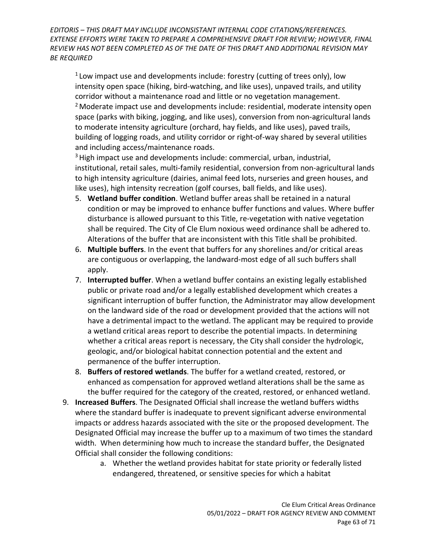$1$  Low impact use and developments include: forestry (cutting of trees only), low intensity open space (hiking, bird-watching, and like uses), unpaved trails, and utility corridor without a maintenance road and little or no vegetation management. <sup>2</sup> Moderate impact use and developments include: residential, moderate intensity open space (parks with biking, jogging, and like uses), conversion from non-agricultural lands to moderate intensity agriculture (orchard, hay fields, and like uses), paved trails, building of logging roads, and utility corridor or right-of-way shared by several utilities and including access/maintenance roads.

<sup>3</sup> High impact use and developments include: commercial, urban, industrial, institutional, retail sales, multi-family residential, conversion from non-agricultural lands to high intensity agriculture (dairies, animal feed lots, nurseries and green houses, and like uses), high intensity recreation (golf courses, ball fields, and like uses).

- 5. **Wetland buffer condition**. Wetland buffer areas shall be retained in a natural condition or may be improved to enhance buffer functions and values. Where buffer disturbance is allowed pursuant to this Title, re-vegetation with native vegetation shall be required. The City of Cle Elum noxious weed ordinance shall be adhered to. Alterations of the buffer that are inconsistent with this Title shall be prohibited.
- 6. **Multiple buffers**. In the event that buffers for any shorelines and/or critical areas are contiguous or overlapping, the landward-most edge of all such buffers shall apply.
- 7. **Interrupted buffer**. When a wetland buffer contains an existing legally established public or private road and/or a legally established development which creates a significant interruption of buffer function, the Administrator may allow development on the landward side of the road or development provided that the actions will not have a detrimental impact to the wetland. The applicant may be required to provide a wetland critical areas report to describe the potential impacts. In determining whether a critical areas report is necessary, the City shall consider the hydrologic, geologic, and/or biological habitat connection potential and the extent and permanence of the buffer interruption.
- 8. **Buffers of restored wetlands**. The buffer for a wetland created, restored, or enhanced as compensation for approved wetland alterations shall be the same as the buffer required for the category of the created, restored, or enhanced wetland.
- 9. **Increased Buffers**. The Designated Official shall increase the wetland buffers widths where the standard buffer is inadequate to prevent significant adverse environmental impacts or address hazards associated with the site or the proposed development. The Designated Official may increase the buffer up to a maximum of two times the standard width. When determining how much to increase the standard buffer, the Designated Official shall consider the following conditions:
	- a. Whether the wetland provides habitat for state priority or federally listed endangered, threatened, or sensitive species for which a habitat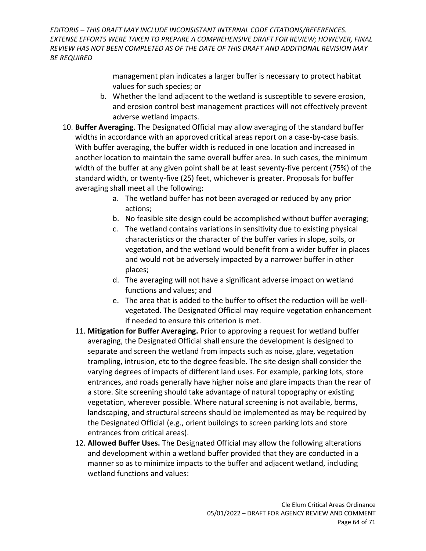> management plan indicates a larger buffer is necessary to protect habitat values for such species; or

- b. Whether the land adjacent to the wetland is susceptible to severe erosion, and erosion control best management practices will not effectively prevent adverse wetland impacts.
- 10. **Buffer Averaging**. The Designated Official may allow averaging of the standard buffer widths in accordance with an approved critical areas report on a case-by-case basis. With buffer averaging, the buffer width is reduced in one location and increased in another location to maintain the same overall buffer area. In such cases, the minimum width of the buffer at any given point shall be at least seventy-five percent (75%) of the standard width, or twenty-five (25) feet, whichever is greater. Proposals for buffer averaging shall meet all the following:
	- a. The wetland buffer has not been averaged or reduced by any prior actions;
	- b. No feasible site design could be accomplished without buffer averaging;
	- c. The wetland contains variations in sensitivity due to existing physical characteristics or the character of the buffer varies in slope, soils, or vegetation, and the wetland would benefit from a wider buffer in places and would not be adversely impacted by a narrower buffer in other places;
	- d. The averaging will not have a significant adverse impact on wetland functions and values; and
	- e. The area that is added to the buffer to offset the reduction will be wellvegetated. The Designated Official may require vegetation enhancement if needed to ensure this criterion is met.
	- 11. **Mitigation for Buffer Averaging.** Prior to approving a request for wetland buffer averaging, the Designated Official shall ensure the development is designed to separate and screen the wetland from impacts such as noise, glare, vegetation trampling, intrusion, etc to the degree feasible. The site design shall consider the varying degrees of impacts of different land uses. For example, parking lots, store entrances, and roads generally have higher noise and glare impacts than the rear of a store. Site screening should take advantage of natural topography or existing vegetation, wherever possible. Where natural screening is not available, berms, landscaping, and structural screens should be implemented as may be required by the Designated Official (e.g., orient buildings to screen parking lots and store entrances from critical areas).
	- 12. **Allowed Buffer Uses.** The Designated Official may allow the following alterations and development within a wetland buffer provided that they are conducted in a manner so as to minimize impacts to the buffer and adjacent wetland, including wetland functions and values: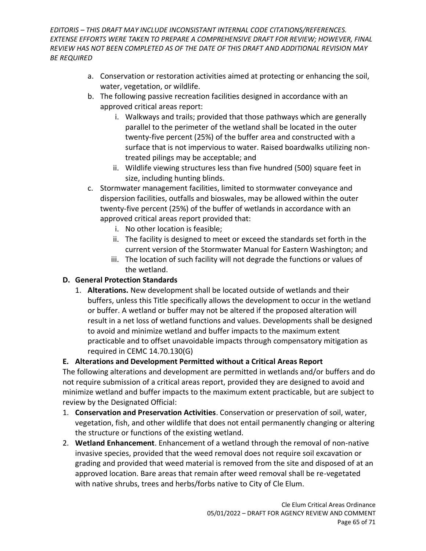- a. Conservation or restoration activities aimed at protecting or enhancing the soil, water, vegetation, or wildlife.
- b. The following passive recreation facilities designed in accordance with an approved critical areas report:
	- i. Walkways and trails; provided that those pathways which are generally parallel to the perimeter of the wetland shall be located in the outer twenty-five percent (25%) of the buffer area and constructed with a surface that is not impervious to water. Raised boardwalks utilizing nontreated pilings may be acceptable; and
	- ii. Wildlife viewing structures less than five hundred (500) square feet in size, including hunting blinds.
- c. Stormwater management facilities, limited to stormwater conveyance and dispersion facilities, outfalls and bioswales, may be allowed within the outer twenty-five percent (25%) of the buffer of wetlands in accordance with an approved critical areas report provided that:
	- i. No other location is feasible;
	- ii. The facility is designed to meet or exceed the standards set forth in the current version of the Stormwater Manual for Eastern Washington; and
	- iii. The location of such facility will not degrade the functions or values of the wetland.

# **D. General Protection Standards**

1. **Alterations.** New development shall be located outside of wetlands and their buffers, unless this Title specifically allows the development to occur in the wetland or buffer. A wetland or buffer may not be altered if the proposed alteration will result in a net loss of wetland functions and values. Developments shall be designed to avoid and minimize wetland and buffer impacts to the maximum extent practicable and to offset unavoidable impacts through compensatory mitigation as required in CEMC 14.70.130(G)

# **E. Alterations and Development Permitted without a Critical Areas Report**

The following alterations and development are permitted in wetlands and/or buffers and do not require submission of a critical areas report, provided they are designed to avoid and minimize wetland and buffer impacts to the maximum extent practicable, but are subject to review by the Designated Official:

- 1. **Conservation and Preservation Activities**. Conservation or preservation of soil, water, vegetation, fish, and other wildlife that does not entail permanently changing or altering the structure or functions of the existing wetland.
- 2. **Wetland Enhancement**. Enhancement of a wetland through the removal of non-native invasive species, provided that the weed removal does not require soil excavation or grading and provided that weed material is removed from the site and disposed of at an approved location. Bare areas that remain after weed removal shall be re-vegetated with native shrubs, trees and herbs/forbs native to City of Cle Elum.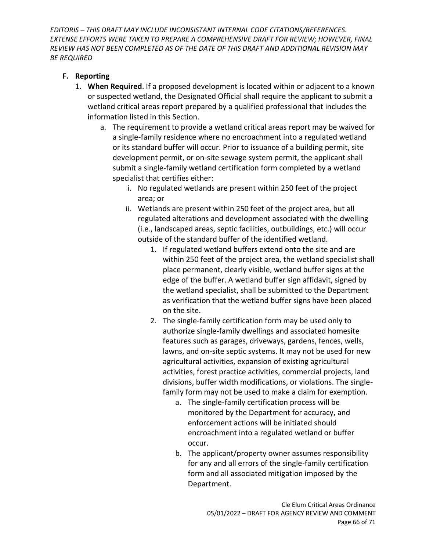### **F. Reporting**

- 1. **When Required**. If a proposed development is located within or adjacent to a known or suspected wetland, the Designated Official shall require the applicant to submit a wetland critical areas report prepared by a qualified professional that includes the information listed in this Section.
	- a. The requirement to provide a wetland critical areas report may be waived for a single-family residence where no encroachment into a regulated wetland or its standard buffer will occur. Prior to issuance of a building permit, site development permit, or on-site sewage system permit, the applicant shall submit a single-family wetland certification form completed by a wetland specialist that certifies either:
		- i. No regulated wetlands are present within 250 feet of the project area; or
		- ii. Wetlands are present within 250 feet of the project area, but all regulated alterations and development associated with the dwelling (i.e., landscaped areas, septic facilities, outbuildings, etc.) will occur outside of the standard buffer of the identified wetland.
			- 1. If regulated wetland buffers extend onto the site and are within 250 feet of the project area, the wetland specialist shall place permanent, clearly visible, wetland buffer signs at the edge of the buffer. A wetland buffer sign affidavit, signed by the wetland specialist, shall be submitted to the Department as verification that the wetland buffer signs have been placed on the site.
			- 2. The single-family certification form may be used only to authorize single-family dwellings and associated homesite features such as garages, driveways, gardens, fences, wells, lawns, and on-site septic systems. It may not be used for new agricultural activities, expansion of existing agricultural activities, forest practice activities, commercial projects, land divisions, buffer width modifications, or violations. The singlefamily form may not be used to make a claim for exemption.
				- a. The single-family certification process will be monitored by the Department for accuracy, and enforcement actions will be initiated should encroachment into a regulated wetland or buffer occur.
				- b. The applicant/property owner assumes responsibility for any and all errors of the single-family certification form and all associated mitigation imposed by the Department.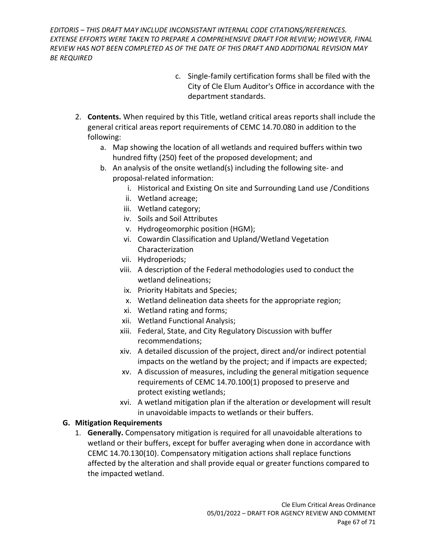- c. Single-family certification forms shall be filed with the City of Cle Elum Auditor's Office in accordance with the department standards.
- 2. **Contents.** When required by this Title, wetland critical areas reports shall include the general critical areas report requirements of CEMC 14.70.080 in addition to the following:
	- a. Map showing the location of all wetlands and required buffers within two hundred fifty (250) feet of the proposed development; and
	- b. An analysis of the onsite wetland(s) including the following site- and proposal-related information:
		- i. Historical and Existing On site and Surrounding Land use /Conditions
		- ii. Wetland acreage;
		- iii. Wetland category;
		- iv. Soils and Soil Attributes
		- v. Hydrogeomorphic position (HGM);
		- vi. Cowardin Classification and Upland/Wetland Vegetation Characterization
		- vii. Hydroperiods;
		- viii. A description of the Federal methodologies used to conduct the wetland delineations;
		- ix. Priority Habitats and Species;
		- x. Wetland delineation data sheets for the appropriate region;
		- xi. Wetland rating and forms;
		- xii. Wetland Functional Analysis;
		- xiii. Federal, State, and City Regulatory Discussion with buffer recommendations;
		- xiv. A detailed discussion of the project, direct and/or indirect potential impacts on the wetland by the project; and if impacts are expected;
		- xv. A discussion of measures, including the general mitigation sequence requirements of CEMC 14.70.100(1) proposed to preserve and protect existing wetlands;
		- xvi. A wetland mitigation plan if the alteration or development will result in unavoidable impacts to wetlands or their buffers.

### **G. Mitigation Requirements**

1. **Generally.** Compensatory mitigation is required for all unavoidable alterations to wetland or their buffers, except for buffer averaging when done in accordance with CEMC 14.70.130(10). Compensatory mitigation actions shall replace functions affected by the alteration and shall provide equal or greater functions compared to the impacted wetland.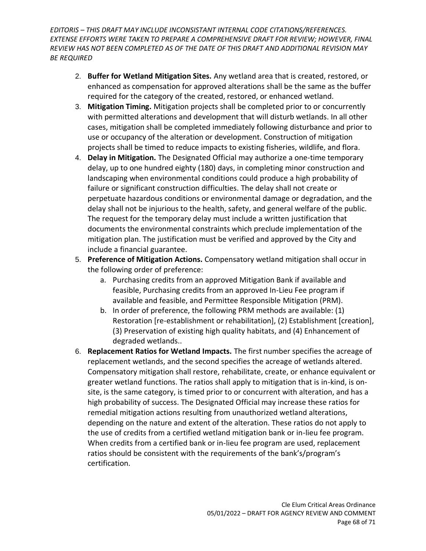- 2. **Buffer for Wetland Mitigation Sites.** Any wetland area that is created, restored, or enhanced as compensation for approved alterations shall be the same as the buffer required for the category of the created, restored, or enhanced wetland.
- 3. **Mitigation Timing.** Mitigation projects shall be completed prior to or concurrently with permitted alterations and development that will disturb wetlands. In all other cases, mitigation shall be completed immediately following disturbance and prior to use or occupancy of the alteration or development. Construction of mitigation projects shall be timed to reduce impacts to existing fisheries, wildlife, and flora.
- 4. **Delay in Mitigation.** The Designated Official may authorize a one-time temporary delay, up to one hundred eighty (180) days, in completing minor construction and landscaping when environmental conditions could produce a high probability of failure or significant construction difficulties. The delay shall not create or perpetuate hazardous conditions or environmental damage or degradation, and the delay shall not be injurious to the health, safety, and general welfare of the public. The request for the temporary delay must include a written justification that documents the environmental constraints which preclude implementation of the mitigation plan. The justification must be verified and approved by the City and include a financial guarantee.
- 5. **Preference of Mitigation Actions.** Compensatory wetland mitigation shall occur in the following order of preference:
	- a. Purchasing credits from an approved Mitigation Bank if available and feasible, Purchasing credits from an approved In-Lieu Fee program if available and feasible, and Permittee Responsible Mitigation (PRM).
	- b. In order of preference, the following PRM methods are available: (1) Restoration [re-establishment or rehabilitation], (2) Establishment [creation], (3) Preservation of existing high quality habitats, and (4) Enhancement of degraded wetlands..
- 6. **Replacement Ratios for Wetland Impacts.** The first number specifies the acreage of replacement wetlands, and the second specifies the acreage of wetlands altered. Compensatory mitigation shall restore, rehabilitate, create, or enhance equivalent or greater wetland functions. The ratios shall apply to mitigation that is in-kind, is onsite, is the same category, is timed prior to or concurrent with alteration, and has a high probability of success. The Designated Official may increase these ratios for remedial mitigation actions resulting from unauthorized wetland alterations, depending on the nature and extent of the alteration. These ratios do not apply to the use of credits from a certified wetland mitigation bank or in-lieu fee program. When credits from a certified bank or in-lieu fee program are used, replacement ratios should be consistent with the requirements of the bank's/program's certification.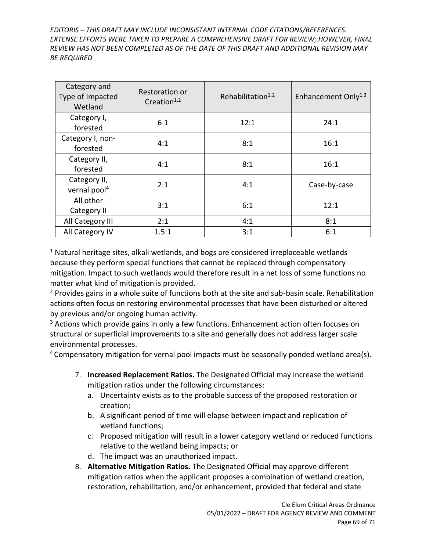| Category and<br>Type of Impacted<br>Wetland | Restoration or<br>Creation $1,2$ | Rehabilitation $1,2$ | Enhancement Only <sup>1,3</sup> |
|---------------------------------------------|----------------------------------|----------------------|---------------------------------|
| Category I,<br>forested                     | 6:1                              | 12:1                 | 24:1                            |
| Category I, non-<br>forested                | 4:1                              | 8:1                  | 16:1                            |
| Category II,<br>forested                    | 4:1                              | 8:1                  | 16:1                            |
| Category II,<br>vernal pool <sup>4</sup>    | 2:1                              | 4:1                  | Case-by-case                    |
| All other<br>Category II                    | 3:1                              | 6:1                  | 12:1                            |
| All Category III                            | 2:1                              | 4:1                  | 8:1                             |
| All Category IV                             | 1.5:1                            | 3:1                  | 6:1                             |

 $1$  Natural heritage sites, alkali wetlands, and bogs are considered irreplaceable wetlands because they perform special functions that cannot be replaced through compensatory mitigation. Impact to such wetlands would therefore result in a net loss of some functions no matter what kind of mitigation is provided.

<sup>2</sup> Provides gains in a whole suite of functions both at the site and sub-basin scale. Rehabilitation actions often focus on restoring environmental processes that have been disturbed or altered by previous and/or ongoing human activity.

 $3$  Actions which provide gains in only a few functions. Enhancement action often focuses on structural or superficial improvements to a site and generally does not address larger scale environmental processes.

 $4$  Compensatory mitigation for vernal pool impacts must be seasonally ponded wetland area(s).

- 7. **Increased Replacement Ratios.** The Designated Official may increase the wetland mitigation ratios under the following circumstances:
	- a. Uncertainty exists as to the probable success of the proposed restoration or creation;
	- b. A significant period of time will elapse between impact and replication of wetland functions;
	- c. Proposed mitigation will result in a lower category wetland or reduced functions relative to the wetland being impacts; or
	- d. The impact was an unauthorized impact.
- 8. **Alternative Mitigation Ratios.** The Designated Official may approve different mitigation ratios when the applicant proposes a combination of wetland creation, restoration, rehabilitation, and/or enhancement, provided that federal and state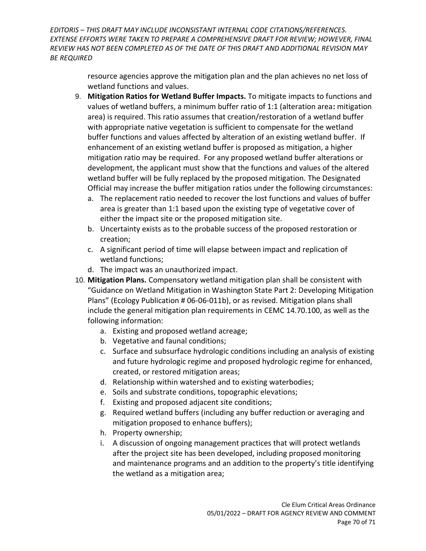> resource agencies approve the mitigation plan and the plan achieves no net loss of wetland functions and values.

- 9. **Mitigation Ratios for Wetland Buffer Impacts.** To mitigate impacts to functions and values of wetland buffers, a minimum buffer ratio of 1:1 (alteration area**:** mitigation area) is required. This ratio assumes that creation/restoration of a wetland buffer with appropriate native vegetation is sufficient to compensate for the wetland buffer functions and values affected by alteration of an existing wetland buffer. If enhancement of an existing wetland buffer is proposed as mitigation, a higher mitigation ratio may be required. For any proposed wetland buffer alterations or development, the applicant must show that the functions and values of the altered wetland buffer will be fully replaced by the proposed mitigation. The Designated Official may increase the buffer mitigation ratios under the following circumstances:
	- a. The replacement ratio needed to recover the lost functions and values of buffer area is greater than 1:1 based upon the existing type of vegetative cover of either the impact site or the proposed mitigation site.
	- b. Uncertainty exists as to the probable success of the proposed restoration or creation;
	- c. A significant period of time will elapse between impact and replication of wetland functions;
	- d. The impact was an unauthorized impact.
- 10. **Mitigation Plans.** Compensatory wetland mitigation plan shall be consistent with "Guidance on Wetland Mitigation in Washington State Part 2: Developing Mitigation Plans" (Ecology Publication # 06-06-011b), or as revised. Mitigation plans shall include the general mitigation plan requirements in CEMC 14.70.100, as well as the following information:
	- a. Existing and proposed wetland acreage;
	- b. Vegetative and faunal conditions;
	- c. Surface and subsurface hydrologic conditions including an analysis of existing and future hydrologic regime and proposed hydrologic regime for enhanced, created, or restored mitigation areas;
	- d. Relationship within watershed and to existing waterbodies;
	- e. Soils and substrate conditions, topographic elevations;
	- f. Existing and proposed adjacent site conditions;
	- g. Required wetland buffers (including any buffer reduction or averaging and mitigation proposed to enhance buffers);
	- h. Property ownership;
	- i. A discussion of ongoing management practices that will protect wetlands after the project site has been developed, including proposed monitoring and maintenance programs and an addition to the property's title identifying the wetland as a mitigation area;